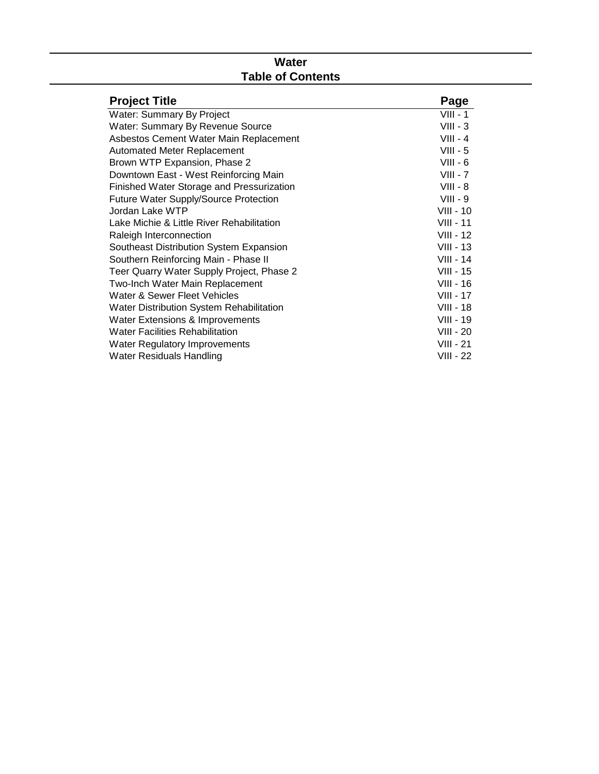# **Water Table of Contents**

| <b>Project Title</b>                         | Page             |
|----------------------------------------------|------------------|
| Water: Summary By Project                    | $VIII - 1$       |
| <b>Water: Summary By Revenue Source</b>      | $VIII - 3$       |
| Asbestos Cement Water Main Replacement       | $VIII - 4$       |
| <b>Automated Meter Replacement</b>           | $VIII - 5$       |
| Brown WTP Expansion, Phase 2                 | $VIII - 6$       |
| Downtown East - West Reinforcing Main        | $VIII - 7$       |
| Finished Water Storage and Pressurization    | $VIII - 8$       |
| <b>Future Water Supply/Source Protection</b> | $VIII - 9$       |
| Jordan Lake WTP                              | $VIII - 10$      |
| Lake Michie & Little River Rehabilitation    | $VIII - 11$      |
| Raleigh Interconnection                      | $VIII - 12$      |
| Southeast Distribution System Expansion      | $VIII - 13$      |
| Southern Reinforcing Main - Phase II         | $VIII - 14$      |
| Teer Quarry Water Supply Project, Phase 2    | $VIII - 15$      |
| Two-Inch Water Main Replacement              | $VIII - 16$      |
| Water & Sewer Fleet Vehicles                 | $VIII - 17$      |
| Water Distribution System Rehabilitation     | <b>VIII - 18</b> |
| Water Extensions & Improvements              | $VIII - 19$      |
| <b>Water Facilities Rehabilitation</b>       | $VIII - 20$      |
| <b>Water Regulatory Improvements</b>         | $VIII - 21$      |
| Water Residuals Handling                     | <b>VIII - 22</b> |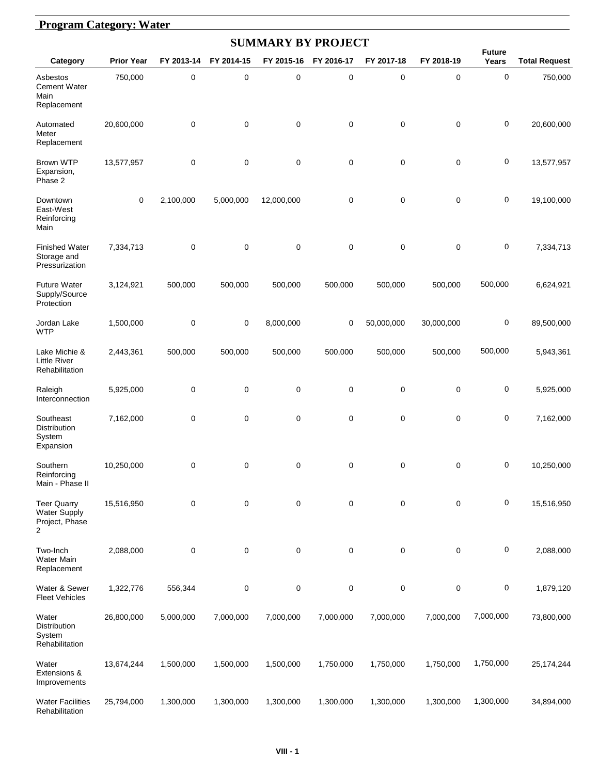#### **Program Category: Water**

|                                                                               |                   |            |            | <b>SUMMARY BY PROJECT</b> |             |            |             |                        |                      |
|-------------------------------------------------------------------------------|-------------------|------------|------------|---------------------------|-------------|------------|-------------|------------------------|----------------------|
| Category                                                                      | <b>Prior Year</b> | FY 2013-14 | FY 2014-15 | FY 2015-16                | FY 2016-17  | FY 2017-18 | FY 2018-19  | <b>Future</b><br>Years | <b>Total Request</b> |
| Asbestos<br><b>Cement Water</b><br>Main<br>Replacement                        | 750,000           | 0          | 0          | $\mathbf 0$               | 0           | 0          | $\mathbf 0$ | $\pmb{0}$              | 750,000              |
| Automated<br>Meter<br>Replacement                                             | 20,600,000        | 0          | 0          | 0                         | 0           | 0          | 0           | 0                      | 20,600,000           |
| Brown WTP<br>Expansion,<br>Phase 2                                            | 13,577,957        | 0          | 0          | $\mathbf 0$               | 0           | 0          | $\mathbf 0$ | 0                      | 13,577,957           |
| Downtown<br>East-West<br>Reinforcing<br>Main                                  | $\mathbf 0$       | 2,100,000  | 5,000,000  | 12,000,000                | 0           | 0          | $\mathbf 0$ | 0                      | 19,100,000           |
| <b>Finished Water</b><br>Storage and<br>Pressurization                        | 7,334,713         | 0          | 0          | $\mathbf 0$               | 0           | 0          | $\mathbf 0$ | $\pmb{0}$              | 7,334,713            |
| <b>Future Water</b><br>Supply/Source<br>Protection                            | 3,124,921         | 500,000    | 500,000    | 500,000                   | 500,000     | 500,000    | 500,000     | 500,000                | 6,624,921            |
| Jordan Lake<br><b>WTP</b>                                                     | 1,500,000         | 0          | 0          | 8,000,000                 | 0           | 50,000,000 | 30,000,000  | 0                      | 89,500,000           |
| Lake Michie &<br><b>Little River</b><br>Rehabilitation                        | 2,443,361         | 500,000    | 500,000    | 500,000                   | 500,000     | 500,000    | 500,000     | 500,000                | 5,943,361            |
| Raleigh<br>Interconnection                                                    | 5,925,000         | 0          | 0          | 0                         | 0           | 0          | $\mathbf 0$ | $\pmb{0}$              | 5,925,000            |
| Southeast<br>Distribution<br>System<br>Expansion                              | 7,162,000         | 0          | 0          | $\mathbf 0$               | 0           | 0          | $\mathbf 0$ | 0                      | 7,162,000            |
| Southern<br>Reinforcing<br>Main - Phase II                                    | 10,250,000        | 0          | 0          | 0                         | 0           | 0          | 0           | 0                      | 10,250,000           |
| <b>Teer Quarry</b><br><b>Water Supply</b><br>Project, Phase<br>$\overline{2}$ | 15,516,950        | 0          | 0          | $\mathbf 0$               | $\mathbf 0$ | 0          | $\mathbf 0$ | 0                      | 15,516,950           |
| Two-Inch<br>Water Main<br>Replacement                                         | 2,088,000         | 0          | 0          | $\mathbf 0$               | 0           | 0          | $\mathbf 0$ | 0                      | 2,088,000            |
| Water & Sewer<br><b>Fleet Vehicles</b>                                        | 1,322,776         | 556,344    | 0          | $\pmb{0}$                 | 0           | 0          | 0           | 0                      | 1,879,120            |
| Water<br>Distribution<br>System<br>Rehabilitation                             | 26,800,000        | 5,000,000  | 7,000,000  | 7,000,000                 | 7,000,000   | 7,000,000  | 7,000,000   | 7,000,000              | 73,800,000           |
| Water<br>Extensions &<br>Improvements                                         | 13,674,244        | 1,500,000  | 1,500,000  | 1,500,000                 | 1,750,000   | 1,750,000  | 1,750,000   | 1,750,000              | 25, 174, 244         |
| <b>Water Facilities</b><br>Rehabilitation                                     | 25,794,000        | 1,300,000  | 1,300,000  | 1,300,000                 | 1,300,000   | 1,300,000  | 1,300,000   | 1,300,000              | 34,894,000           |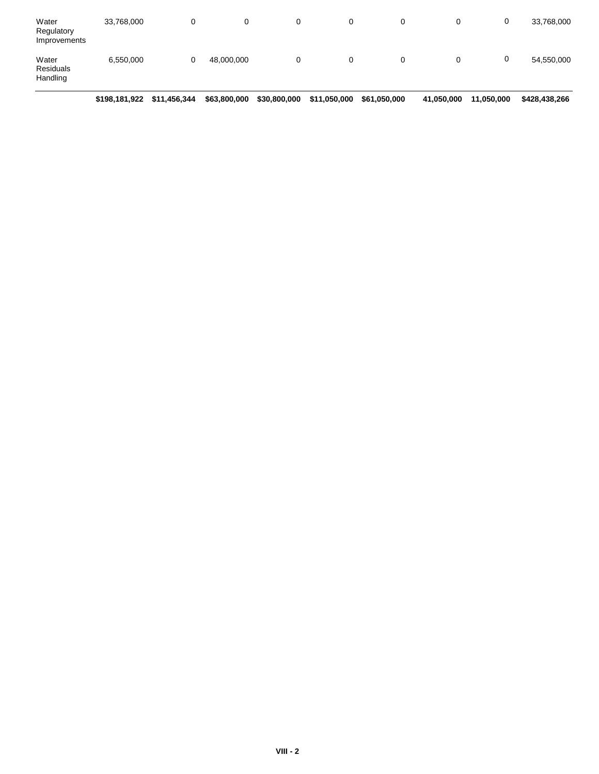| Water<br>Regulatory<br>Improvements | 33,768,000 | 0 |            | 0 | 0 | 0 | 0 | 33,768,000 |
|-------------------------------------|------------|---|------------|---|---|---|---|------------|
| Water<br>Residuals<br>Handling      | 6,550,000  | 0 | 48,000,000 | 0 | 0 | 0 | υ | 54,550,000 |

**\$198,181,922 \$11,456,344 \$63,800,000 \$30,800,000 \$11,050,000 \$61,050,000 \$41,050,000 \$11,050,000 \$428,438,266**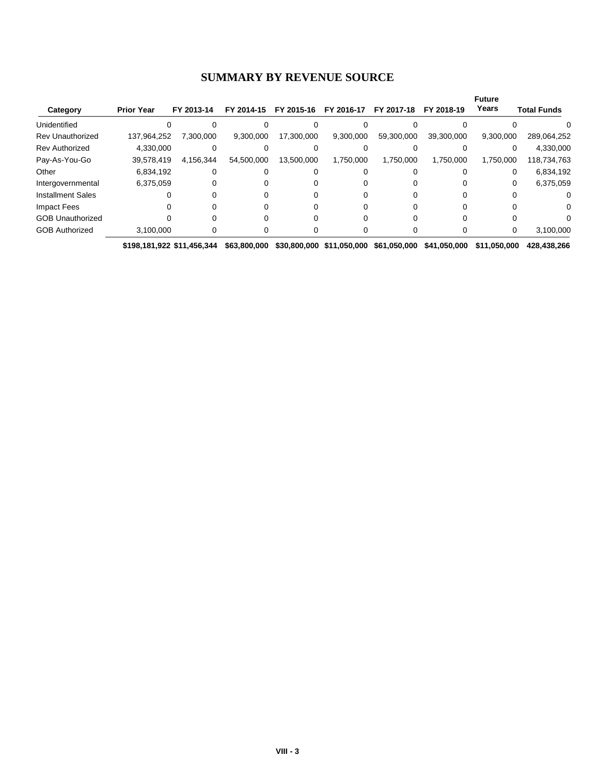#### **SUMMARY BY REVENUE SOURCE**

|                          |                   |            |            |            |            |            |            | <b>Future</b> |                    |
|--------------------------|-------------------|------------|------------|------------|------------|------------|------------|---------------|--------------------|
| Category                 | <b>Prior Year</b> | FY 2013-14 | FY 2014-15 | FY 2015-16 | FY 2016-17 | FY 2017-18 | FY 2018-19 | Years         | <b>Total Funds</b> |
| Unidentified             |                   |            |            |            |            |            |            |               |                    |
| <b>Rev Unauthorized</b>  | 137,964,252       | 7,300,000  | 9,300,000  | 17,300,000 | 9,300,000  | 59,300,000 | 39,300,000 | 9,300,000     | 289,064,252        |
| <b>Rev Authorized</b>    | 4,330,000         |            |            |            |            |            |            |               | 4,330,000          |
| Pay-As-You-Go            | 39,578,419        | 4,156,344  | 54,500,000 | 13,500,000 | 1,750,000  | 1,750,000  | 1,750,000  | 1,750,000     | 118,734,763        |
| Other                    | 6,834,192         |            |            |            |            |            |            | 0             | 6,834,192          |
| Intergovernmental        | 6,375,059         |            |            |            |            |            |            | 0             | 6,375,059          |
| <b>Installment Sales</b> |                   |            |            |            |            |            |            |               |                    |
| Impact Fees              |                   |            |            |            |            |            |            |               |                    |
| <b>GOB Unauthorized</b>  |                   |            |            |            |            |            |            |               |                    |
| <b>GOB Authorized</b>    | 3,100,000         |            |            |            |            |            |            |               | 3,100,000          |

**\$198,181,922 \$11,456,344 \$63,800,000 \$30,800,000 \$11,050,000 \$61,050,000 \$41,050,000 \$11,050,000 \$428,438,266**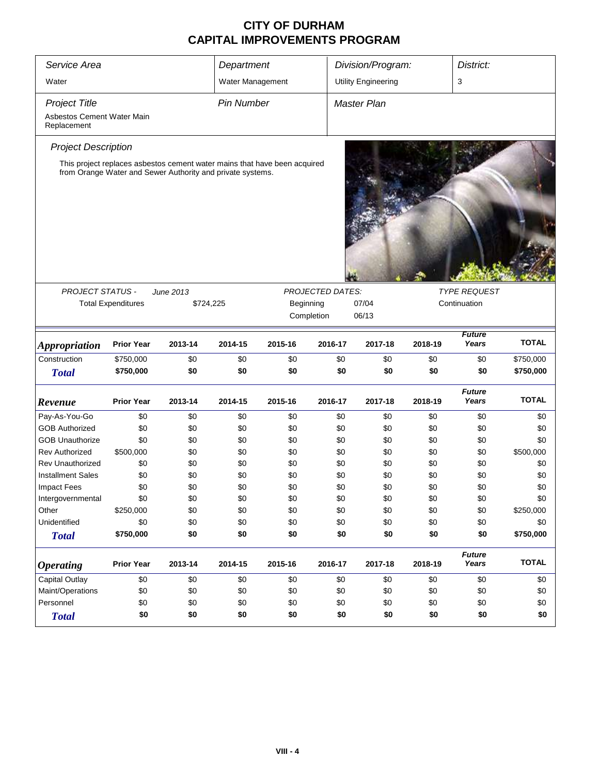| Service Area<br>Department                                        |                           |                                                                                                                                         |                   |           | Division/Program: |                            | District:    |                        |              |  |
|-------------------------------------------------------------------|---------------------------|-----------------------------------------------------------------------------------------------------------------------------------------|-------------------|-----------|-------------------|----------------------------|--------------|------------------------|--------------|--|
| Water                                                             |                           |                                                                                                                                         | Water Management  |           |                   | <b>Utility Engineering</b> |              | 3                      |              |  |
| <b>Project Title</b><br>Asbestos Cement Water Main<br>Replacement |                           |                                                                                                                                         | <b>Pin Number</b> |           |                   | Master Plan                |              |                        |              |  |
| <b>Project Description</b>                                        |                           |                                                                                                                                         |                   |           |                   |                            |              |                        |              |  |
|                                                                   |                           | This project replaces asbestos cement water mains that have been acquired<br>from Orange Water and Sewer Authority and private systems. |                   |           |                   |                            |              |                        |              |  |
| <b>PROJECT STATUS -</b>                                           |                           | June 2013                                                                                                                               |                   |           | PROJECTED DATES:  |                            |              | <b>TYPE REQUEST</b>    |              |  |
|                                                                   | <b>Total Expenditures</b> | \$724,225                                                                                                                               |                   | Beginning |                   | 07/04                      | Continuation |                        |              |  |
|                                                                   |                           |                                                                                                                                         |                   |           | Completion        | 06/13                      |              |                        |              |  |
|                                                                   |                           |                                                                                                                                         |                   |           |                   |                            |              | <b>Future</b>          |              |  |
| <b>Appropriation</b>                                              | <b>Prior Year</b>         | 2013-14                                                                                                                                 | 2014-15           | 2015-16   | 2016-17           | 2017-18                    | 2018-19      | Years                  | <b>TOTAL</b> |  |
| Construction                                                      | \$750,000                 | \$0                                                                                                                                     | \$0               | \$0       | \$0               | \$0                        | \$0          | \$0                    | \$750,000    |  |
| <b>Total</b>                                                      | \$750,000                 | \$0                                                                                                                                     | \$0               | \$0       | \$0               | \$0                        | \$0          | \$0                    | \$750,000    |  |
| Revenue                                                           | <b>Prior Year</b>         | 2013-14                                                                                                                                 | 2014-15           | 2015-16   | 2016-17           | 2017-18                    | 2018-19      | <b>Future</b><br>Years | <b>TOTAL</b> |  |
| Pay-As-You-Go                                                     | \$0                       | \$0                                                                                                                                     | \$0               | \$0       | \$0               | \$0                        | \$0          | \$0                    | \$0          |  |
| <b>GOB Authorized</b>                                             | \$0                       | \$0                                                                                                                                     | \$0               | \$0       | \$0               | \$0                        | \$0          | \$0                    | \$0          |  |
| <b>GOB Unauthorize</b>                                            | \$0                       | \$0                                                                                                                                     | \$0               | \$0       | \$0               | \$0                        | \$0          | \$0                    | \$0          |  |
| <b>Rev Authorized</b>                                             | \$500,000                 | \$0                                                                                                                                     | \$0               | \$0       | \$0               | \$0                        | \$0          | \$0                    | \$500,000    |  |
| <b>Rev Unauthorized</b>                                           | \$0                       | \$0                                                                                                                                     | \$0               | \$0       | \$0               | \$0                        | \$0          | \$0                    | \$0          |  |
| <b>Installment Sales</b>                                          | \$0                       | \$0                                                                                                                                     | \$0               | \$0       | \$0               | \$0                        | \$0          | \$0                    | \$0          |  |
| <b>Impact Fees</b>                                                | \$0                       | \$0                                                                                                                                     | \$0               | \$0       | \$0               | \$0                        | \$0          | \$0                    | \$0          |  |
| Intergovernmental                                                 | \$0                       | \$0                                                                                                                                     | \$0               | \$0       | \$0               | \$0                        | \$0          | \$0                    | \$0          |  |
| Other                                                             | \$250,000                 | \$0                                                                                                                                     | \$0               | \$0       | \$0               | \$0                        | \$0          | \$0                    | \$250,000    |  |
| Unidentified                                                      | \$0                       | \$0                                                                                                                                     | \$0               | \$0       | \$0               | \$0                        | \$0          | \$0                    | \$0          |  |
| <b>Total</b>                                                      | \$750,000                 | \$0                                                                                                                                     | \$0               | \$0       | \$0               | \$0                        | \$0          | \$0                    | \$750,000    |  |
| <b>Operating</b>                                                  | <b>Prior Year</b>         | 2013-14                                                                                                                                 | 2014-15           | 2015-16   | 2016-17           | 2017-18                    | 2018-19      | <b>Future</b><br>Years | <b>TOTAL</b> |  |
| <b>Capital Outlay</b>                                             | \$0                       | \$0                                                                                                                                     | \$0               | \$0       | \$0               | \$0                        | \$0          | \$0                    | \$0          |  |
| Maint/Operations                                                  | \$0                       | \$0                                                                                                                                     | \$0               | \$0       | \$0               | \$0                        | \$0          | \$0                    | \$0          |  |
| Personnel                                                         | \$0                       | \$0                                                                                                                                     | \$0               | \$0       | \$0               | \$0                        | \$0          | \$0                    | \$0          |  |
| <b>Total</b>                                                      | \$0                       | \$0                                                                                                                                     | \$0               | \$0       | \$0               | \$0                        | \$0          | \$0                    | \$0          |  |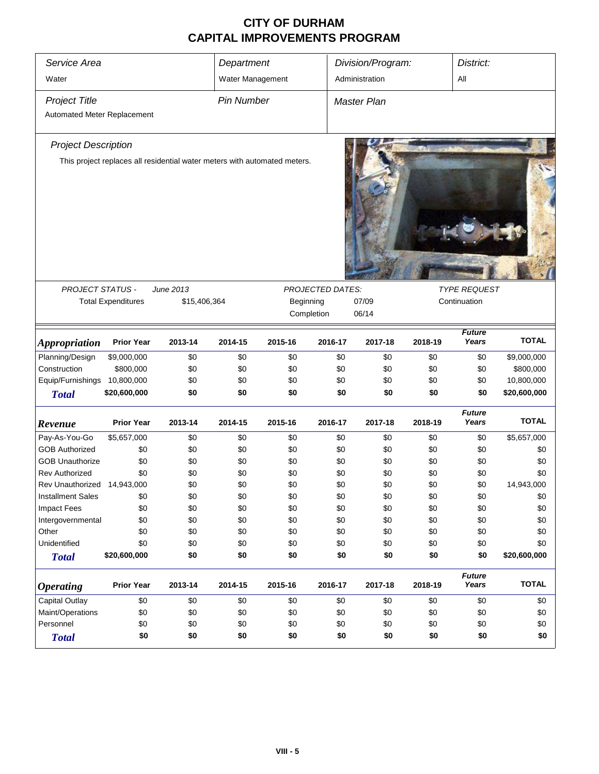| Service Area<br>Water       |                                                                      |                                                                           | Department        |                  |         | Division/Program:  |                                     |                        | District:    |  |
|-----------------------------|----------------------------------------------------------------------|---------------------------------------------------------------------------|-------------------|------------------|---------|--------------------|-------------------------------------|------------------------|--------------|--|
|                             |                                                                      |                                                                           | Water Management  |                  |         | Administration     |                                     | All                    |              |  |
| <b>Project Title</b>        |                                                                      |                                                                           | <b>Pin Number</b> |                  |         | <b>Master Plan</b> |                                     |                        |              |  |
| Automated Meter Replacement |                                                                      |                                                                           |                   |                  |         |                    |                                     |                        |              |  |
| <b>Project Description</b>  |                                                                      | This project replaces all residential water meters with automated meters. |                   |                  |         |                    |                                     |                        |              |  |
|                             |                                                                      |                                                                           |                   |                  |         |                    |                                     |                        |              |  |
| PROJECT STATUS -            |                                                                      | June 2013                                                                 |                   | PROJECTED DATES: | 07/09   |                    | <b>TYPE REQUEST</b><br>Continuation |                        |              |  |
|                             | <b>Total Expenditures</b><br>\$15,406,364<br>Beginning<br>Completion |                                                                           |                   |                  |         |                    |                                     |                        |              |  |
|                             |                                                                      |                                                                           |                   |                  |         | 06/14              |                                     |                        |              |  |
| <b>Appropriation</b>        | <b>Prior Year</b>                                                    | 2013-14                                                                   | 2014-15           | 2015-16          | 2016-17 | 2017-18            | 2018-19                             | <b>Future</b><br>Years | <b>TOTAL</b> |  |
| Planning/Design             | \$9,000,000                                                          | \$0                                                                       | \$0               | \$0              | \$0     | \$0                | \$0                                 | \$0                    | \$9,000,000  |  |
| Construction                | \$800,000                                                            | \$0                                                                       | \$0               | \$0              | \$0     | \$0                | \$0                                 | \$0                    | \$800,000    |  |
| Equip/Furnishings           | 10,800,000                                                           | \$0                                                                       | \$0               | \$0              | \$0     | \$0                | \$0                                 | \$0                    | 10,800,000   |  |
| <b>Total</b>                | \$20,600,000                                                         | \$0                                                                       | \$0               | \$0              | \$0     | \$0                | \$0                                 | \$0                    | \$20,600,000 |  |
| Revenue                     | <b>Prior Year</b>                                                    | 2013-14                                                                   | 2014-15           | 2015-16          | 2016-17 | 2017-18            | 2018-19                             | <b>Future</b><br>Years | <b>TOTAL</b> |  |
| Pay-As-You-Go               | \$5,657,000                                                          | \$0                                                                       | \$0               | \$0              | \$0     | \$0                | \$0                                 | \$0                    | \$5,657,000  |  |
| <b>GOB Authorized</b>       | \$0                                                                  | \$0                                                                       | \$0               | \$0              | \$0     | \$0                | \$0                                 | \$0                    | \$0          |  |
| <b>GOB Unauthorize</b>      | \$0                                                                  | \$0                                                                       | \$0               | \$0              | \$0     | \$0                | \$0                                 | \$0                    | \$0          |  |
| <b>Rev Authorized</b>       | \$0                                                                  | \$0                                                                       | \$0               | \$0              | \$0     | \$0                | \$0                                 | \$0                    | \$0          |  |
| Rev Unauthorized 14,943,000 |                                                                      | \$0                                                                       | \$0               | \$0              | \$0     | \$0                | \$0                                 | \$0                    | 14,943,000   |  |
| <b>Installment Sales</b>    | \$0                                                                  | \$0                                                                       | \$0               | \$0              | \$0     | \$0                | \$0                                 | \$0                    | \$0          |  |
| <b>Impact Fees</b>          | \$0                                                                  | \$0                                                                       | \$0               | \$0              | \$0     | \$0                | \$0                                 | \$0                    | \$0          |  |
| Intergovernmental           | \$0                                                                  | \$0                                                                       | \$0               | \$0              | \$0     | \$0                | \$0                                 | \$0                    | \$0          |  |
| Other                       | \$0                                                                  | \$0                                                                       | \$0               | \$0              | \$0     | \$0                | \$0                                 | \$0                    | \$0          |  |
| Unidentified                | \$0                                                                  | \$0                                                                       | \$0               | \$0              | \$0     | \$0                | \$0                                 | \$0                    | \$0          |  |
| <b>Total</b>                | \$20,600,000                                                         | \$0                                                                       | \$0               | \$0              | \$0     | \$0                | \$0                                 | \$0                    | \$20,600,000 |  |
| <b>Operating</b>            | <b>Prior Year</b>                                                    | 2013-14                                                                   | 2014-15           | 2015-16          | 2016-17 | 2017-18            | 2018-19                             | <b>Future</b><br>Years | <b>TOTAL</b> |  |
| <b>Capital Outlay</b>       | \$0                                                                  | \$0                                                                       | \$0               | \$0              | \$0     | \$0                | \$0                                 | \$0                    | \$0          |  |
| Maint/Operations            | \$0                                                                  | \$0                                                                       | \$0               | \$0              | \$0     | \$0                | \$0                                 | \$0                    | \$0          |  |
| Personnel                   | \$0                                                                  | \$0                                                                       | \$0               | \$0              | \$0     | \$0                | \$0                                 | \$0                    | \$0          |  |
| <b>Total</b>                | \$0                                                                  | \$0                                                                       | \$0               | \$0              | \$0     | \$0                | \$0                                 | \$0                    | \$0          |  |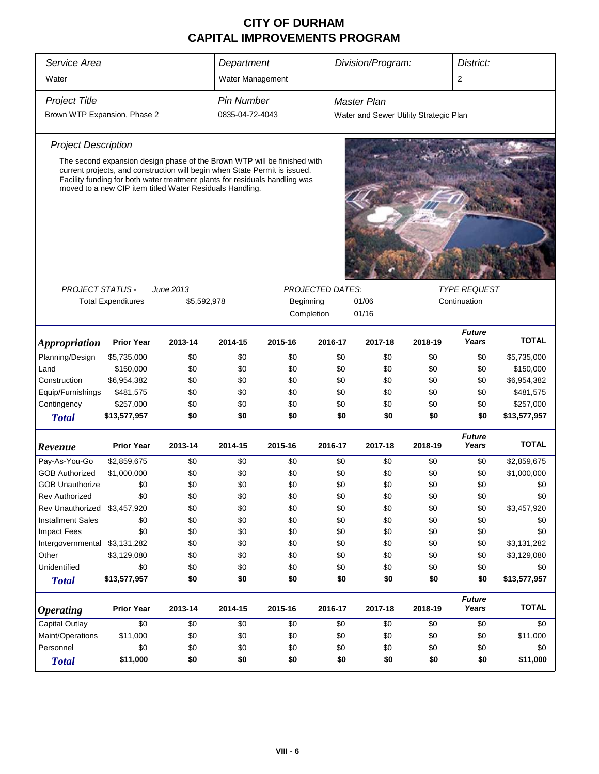| Service Area<br>Department                    |                                                                                                                                                                                                                                                                                                   |         |                   |         |         | Division/Program:<br>District:         |         |                                     |              |  |
|-----------------------------------------------|---------------------------------------------------------------------------------------------------------------------------------------------------------------------------------------------------------------------------------------------------------------------------------------------------|---------|-------------------|---------|---------|----------------------------------------|---------|-------------------------------------|--------------|--|
| Water                                         |                                                                                                                                                                                                                                                                                                   |         | Water Management  |         |         |                                        |         | 2                                   |              |  |
| <b>Project Title</b>                          |                                                                                                                                                                                                                                                                                                   |         | <b>Pin Number</b> |         |         | <b>Master Plan</b>                     |         |                                     |              |  |
| Brown WTP Expansion, Phase 2                  |                                                                                                                                                                                                                                                                                                   |         | 0835-04-72-4043   |         |         | Water and Sewer Utility Strategic Plan |         |                                     |              |  |
| <b>Project Description</b>                    |                                                                                                                                                                                                                                                                                                   |         |                   |         |         |                                        |         |                                     |              |  |
|                                               | The second expansion design phase of the Brown WTP will be finished with<br>current projects, and construction will begin when State Permit is issued.<br>Facility funding for both water treatment plants for residuals handling was<br>moved to a new CIP item titled Water Residuals Handling. |         |                   |         |         |                                        |         |                                     |              |  |
|                                               |                                                                                                                                                                                                                                                                                                   |         |                   |         |         |                                        |         |                                     |              |  |
|                                               | <b>PROJECT STATUS -</b><br>June 2013<br><b>PROJECTED DATES:</b><br><b>Total Expenditures</b><br>\$5,592,978<br>01/06<br>Beginning<br>Completion<br>01/16                                                                                                                                          |         |                   |         |         |                                        |         | <b>TYPE REQUEST</b><br>Continuation |              |  |
| <i><b>Appropriation</b></i>                   | <b>Prior Year</b>                                                                                                                                                                                                                                                                                 | 2013-14 | 2014-15           | 2015-16 | 2016-17 | 2017-18                                | 2018-19 | <b>Future</b><br>Years              | <b>TOTAL</b> |  |
| Planning/Design                               | \$5,735,000                                                                                                                                                                                                                                                                                       | \$0     | \$0               | \$0     | \$0     | \$0                                    | \$0     | \$0                                 | \$5,735,000  |  |
| Land                                          | \$150,000                                                                                                                                                                                                                                                                                         | \$0     | \$0               | \$0     | \$0     | \$0                                    | \$0     | \$0                                 | \$150,000    |  |
| Construction                                  | \$6,954,382                                                                                                                                                                                                                                                                                       | \$0     | \$0               | \$0     | \$0     | \$0                                    | \$0     | \$0                                 | \$6,954,382  |  |
| Equip/Furnishings                             | \$481,575                                                                                                                                                                                                                                                                                         | \$0     | \$0               | \$0     | \$0     | \$0                                    | \$0     | \$0                                 | \$481,575    |  |
| Contingency                                   | \$257,000                                                                                                                                                                                                                                                                                         | \$0     | \$0               | \$0     | \$0     | \$0                                    | \$0     | \$0                                 | \$257,000    |  |
| <b>Total</b>                                  | \$13,577,957                                                                                                                                                                                                                                                                                      | \$0     | \$0               | \$0     | \$0     | \$0                                    | \$0     | \$0                                 | \$13,577,957 |  |
| Revenue                                       | <b>Prior Year</b>                                                                                                                                                                                                                                                                                 | 2013-14 | 2014-15           | 2015-16 | 2016-17 | 2017-18                                | 2018-19 | <b>Future</b><br>Years              | <b>TOTAL</b> |  |
| Pay-As-You-Go                                 | \$2,859,675                                                                                                                                                                                                                                                                                       | \$0     | \$0               | \$0     | \$0     | \$0                                    | \$0     | \$0                                 | \$2,859,675  |  |
| <b>GOB Authorized</b>                         | \$1,000,000                                                                                                                                                                                                                                                                                       | \$0     | \$0               | \$0     | \$0     | \$0                                    | \$0     | \$0                                 | \$1,000,000  |  |
| <b>GOB Unauthorize</b>                        | \$0                                                                                                                                                                                                                                                                                               | \$0     | \$0               | \$0     | \$0     | \$0                                    | \$0     | \$0                                 | \$0          |  |
| <b>Rev Authorized</b>                         | \$0                                                                                                                                                                                                                                                                                               | \$0     | \$0               | \$0     | \$0     | \$0                                    | \$0     | \$0                                 | \$0          |  |
| Rev Unauthorized                              | \$3,457,920                                                                                                                                                                                                                                                                                       | \$0     | \$0               | \$0     | \$0     | \$0                                    | \$0     | \$0                                 | \$3,457,920  |  |
| <b>Installment Sales</b>                      | \$0                                                                                                                                                                                                                                                                                               | \$0     | \$0               | \$0     | \$0     | \$0                                    | \$0     | \$0                                 | \$0          |  |
| <b>Impact Fees</b>                            | \$0                                                                                                                                                                                                                                                                                               | \$0     | \$0               | \$0     | \$0     | \$0                                    | \$0     | \$0                                 | \$0          |  |
| Intergovernmental \$3,131,282                 |                                                                                                                                                                                                                                                                                                   | \$0     | \$0               | \$0     | \$0     | \$0                                    | \$0     | \$0                                 | \$3,131,282  |  |
| Other                                         | \$3,129,080                                                                                                                                                                                                                                                                                       | \$0     | \$0               | \$0     | \$0     | \$0                                    | \$0     | \$0                                 | \$3,129,080  |  |
| Unidentified                                  | \$0                                                                                                                                                                                                                                                                                               | \$0     | \$0               | \$0     | \$0     | \$0                                    | \$0     | \$0                                 | \$0          |  |
| <b>Total</b>                                  | \$13,577,957                                                                                                                                                                                                                                                                                      | \$0     | \$0               | \$0     | \$0     | \$0                                    | \$0     | \$0                                 | \$13,577,957 |  |
| <b>Operating</b>                              | <b>Prior Year</b>                                                                                                                                                                                                                                                                                 | 2013-14 | 2014-15           | 2015-16 | 2016-17 | 2017-18                                | 2018-19 | <b>Future</b><br>Years              | <b>TOTAL</b> |  |
| <b>Capital Outlay</b>                         | \$0                                                                                                                                                                                                                                                                                               | \$0     | \$0               | \$0     | \$0     | \$0                                    | \$0     | \$0                                 | \$0          |  |
| Maint/Operations                              | \$11,000                                                                                                                                                                                                                                                                                          | \$0     | \$0               | \$0     | \$0     | \$0                                    | \$0     | \$0                                 | \$11,000     |  |
| \$0<br>Personnel<br>\$0<br>\$0<br>\$0         |                                                                                                                                                                                                                                                                                                   |         |                   |         | \$0     | \$0                                    | \$0     | \$0                                 | \$0          |  |
| \$11,000<br>\$0<br>\$0<br>\$0<br><b>Total</b> |                                                                                                                                                                                                                                                                                                   |         |                   |         |         | \$0                                    | \$0     | \$0                                 | \$11,000     |  |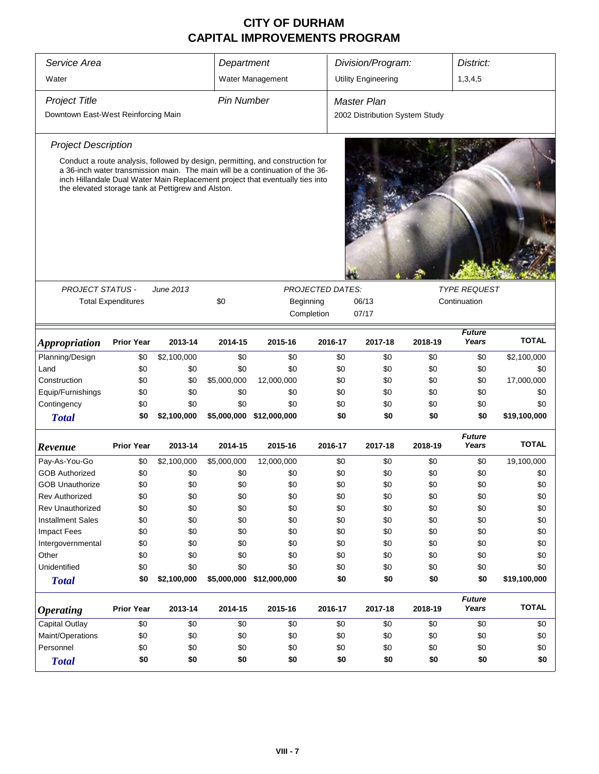| Service Area                                                                                                                                                                                                                                                                                           | Department                |             |                   |                                               |            |     | Division/Program:<br>District: |         |                        |              |  |  |
|--------------------------------------------------------------------------------------------------------------------------------------------------------------------------------------------------------------------------------------------------------------------------------------------------------|---------------------------|-------------|-------------------|-----------------------------------------------|------------|-----|--------------------------------|---------|------------------------|--------------|--|--|
| Water                                                                                                                                                                                                                                                                                                  |                           |             |                   | Water Management                              |            |     | <b>Utility Engineering</b>     |         | 1,3,4,5                |              |  |  |
| <b>Project Title</b>                                                                                                                                                                                                                                                                                   |                           |             | <b>Pin Number</b> |                                               |            |     | Master Plan                    |         |                        |              |  |  |
| Downtown East-West Reinforcing Main                                                                                                                                                                                                                                                                    |                           |             |                   |                                               |            |     | 2002 Distribution System Study |         |                        |              |  |  |
|                                                                                                                                                                                                                                                                                                        |                           |             |                   |                                               |            |     |                                |         |                        |              |  |  |
| <b>Project Description</b>                                                                                                                                                                                                                                                                             |                           |             |                   |                                               |            |     |                                |         |                        |              |  |  |
| Conduct a route analysis, followed by design, permitting, and construction for<br>a 36-inch water transmission main. The main will be a continuation of the 36-<br>inch Hillandale Dual Water Main Replacement project that eventually ties into<br>the elevated storage tank at Pettigrew and Alston. |                           |             |                   |                                               |            |     |                                |         |                        |              |  |  |
|                                                                                                                                                                                                                                                                                                        |                           |             |                   |                                               |            |     |                                |         | <b>TYPE REQUEST</b>    |              |  |  |
| <b>PROJECT STATUS -</b>                                                                                                                                                                                                                                                                                | <b>Total Expenditures</b> | June 2013   | \$0               | <b>PROJECTED DATES:</b><br>06/13<br>Beginning |            |     |                                |         |                        |              |  |  |
|                                                                                                                                                                                                                                                                                                        |                           |             |                   |                                               | Completion |     | 07/17                          |         | Continuation           |              |  |  |
|                                                                                                                                                                                                                                                                                                        |                           |             |                   |                                               |            |     |                                |         |                        |              |  |  |
| <i><b>Appropriation</b></i>                                                                                                                                                                                                                                                                            | <b>Prior Year</b>         | 2013-14     | 2014-15           | 2015-16                                       | 2016-17    |     | 2017-18                        | 2018-19 | <b>Future</b><br>Years | <b>TOTAL</b> |  |  |
| Planning/Design                                                                                                                                                                                                                                                                                        | \$0                       | \$2,100,000 | \$0               | \$0                                           |            | \$0 | \$0                            | \$0     | \$0                    | \$2,100,000  |  |  |
| Land                                                                                                                                                                                                                                                                                                   | \$0                       | \$0         | \$0               | \$0                                           |            | \$0 | \$0                            | \$0     | \$0                    | \$0          |  |  |
| Construction                                                                                                                                                                                                                                                                                           | \$0                       | \$0         | \$5,000,000       | 12,000,000                                    |            | \$0 | \$0                            | \$0     | \$0                    | 17,000,000   |  |  |
| Equip/Furnishings                                                                                                                                                                                                                                                                                      | \$0                       | \$0         | \$0               | \$0                                           |            | \$0 | \$0                            | \$0     | \$0                    | \$0          |  |  |
| Contingency                                                                                                                                                                                                                                                                                            | \$0                       | \$0         | \$0               | \$0                                           |            | \$0 | \$0                            | \$0     | \$0                    | \$0          |  |  |
| <b>Total</b>                                                                                                                                                                                                                                                                                           | \$0                       | \$2,100,000 |                   | \$5,000,000 \$12,000,000                      |            | \$0 | \$0                            | \$0     | \$0                    | \$19,100,000 |  |  |
| Revenue                                                                                                                                                                                                                                                                                                | <b>Prior Year</b>         | 2013-14     | 2014-15           | 2015-16                                       | 2016-17    |     | 2017-18                        | 2018-19 | <b>Future</b><br>Years | <b>TOTAL</b> |  |  |
| Pay-As-You-Go                                                                                                                                                                                                                                                                                          | \$0                       | \$2,100,000 | \$5,000,000       | 12,000,000                                    |            | \$0 | \$0                            | \$0     | \$0                    | 19,100,000   |  |  |
| <b>GOB Authorized</b>                                                                                                                                                                                                                                                                                  | \$0                       | \$0         | \$0               | \$0                                           |            | \$0 | \$0                            | \$0     | \$0                    | \$0          |  |  |
| <b>GOB Unauthorize</b>                                                                                                                                                                                                                                                                                 | \$0                       | \$0         | \$0               | \$0                                           |            | \$0 | \$0                            | \$0     | \$0                    | \$0          |  |  |
| Rev Authorized                                                                                                                                                                                                                                                                                         | \$0                       | \$0         | \$0               | \$0                                           |            | \$0 | \$0                            | \$0     | \$0                    | \$0          |  |  |
| <b>Rev Unauthorized</b>                                                                                                                                                                                                                                                                                | \$0                       | \$0         | \$0               | \$0                                           |            | \$0 | \$0                            | \$0     | \$0                    | \$0          |  |  |
| <b>Installment Sales</b>                                                                                                                                                                                                                                                                               | \$0                       | \$0         | \$0               | \$0                                           |            | \$0 | \$0                            | \$0     | \$0                    | \$0          |  |  |
| <b>Impact Fees</b>                                                                                                                                                                                                                                                                                     | \$0                       | \$0         | \$0               | \$0                                           |            | \$0 | \$0                            | \$0     | \$0                    | \$0          |  |  |
| Intergovernmental                                                                                                                                                                                                                                                                                      | \$0                       | \$0         | \$0               | \$0                                           |            | \$0 | \$0                            | \$0     | \$0                    | \$0          |  |  |
| Other                                                                                                                                                                                                                                                                                                  | \$0                       | \$0         | \$0               | \$0                                           |            | \$0 | \$0                            | \$0     | \$0                    | \$0          |  |  |
| Unidentified                                                                                                                                                                                                                                                                                           | \$0                       | \$0         | \$0               | \$0                                           |            | \$0 | \$0                            | \$0     | \$0                    | \$0          |  |  |
| <b>Total</b>                                                                                                                                                                                                                                                                                           | \$0                       | \$2,100,000 |                   | \$5,000,000 \$12,000,000                      |            | \$0 | \$0                            | \$0     | \$0                    | \$19,100,000 |  |  |
| <b>Operating</b>                                                                                                                                                                                                                                                                                       | <b>Prior Year</b>         | 2013-14     | 2014-15           | 2015-16                                       | 2016-17    |     | 2017-18                        | 2018-19 | <b>Future</b><br>Years | <b>TOTAL</b> |  |  |
| <b>Capital Outlay</b>                                                                                                                                                                                                                                                                                  | \$0                       | \$0         | \$0               | \$0                                           |            | \$0 | \$0                            | \$0     | \$0                    | \$0          |  |  |
| Maint/Operations                                                                                                                                                                                                                                                                                       | \$0                       | \$0         | \$0               | \$0                                           |            | \$0 | \$0                            | \$0     | \$0                    | \$0          |  |  |
| Personnel                                                                                                                                                                                                                                                                                              | \$0                       | \$0         | \$0               | \$0                                           |            | \$0 | \$0                            | \$0     | \$0                    | \$0          |  |  |
| <b>Total</b>                                                                                                                                                                                                                                                                                           | \$0                       | \$0         | \$0               | \$0                                           |            | \$0 | \$0                            | \$0     | \$0                    | \$0          |  |  |
|                                                                                                                                                                                                                                                                                                        |                           |             |                   |                                               |            |     |                                |         |                        |              |  |  |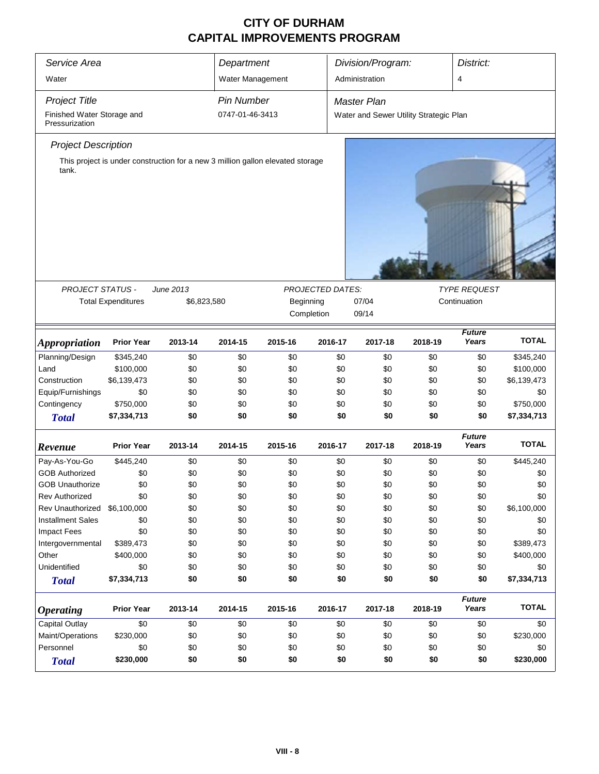| Service Area                                 | Department                |                          |                   | Division/Program:<br>District:                                                              |                  |                                        |         |                                     |              |  |
|----------------------------------------------|---------------------------|--------------------------|-------------------|---------------------------------------------------------------------------------------------|------------------|----------------------------------------|---------|-------------------------------------|--------------|--|
|                                              |                           |                          |                   |                                                                                             |                  |                                        |         |                                     |              |  |
| Water                                        |                           |                          | Water Management  |                                                                                             |                  | Administration                         |         | 4                                   |              |  |
| <b>Project Title</b>                         |                           |                          | <b>Pin Number</b> |                                                                                             |                  | <b>Master Plan</b>                     |         |                                     |              |  |
| Finished Water Storage and<br>Pressurization |                           |                          | 0747-01-46-3413   |                                                                                             |                  | Water and Sewer Utility Strategic Plan |         |                                     |              |  |
| <b>Project Description</b>                   |                           |                          |                   |                                                                                             |                  |                                        |         |                                     |              |  |
| tank.<br>PROJECT STATUS -                    | <b>Total Expenditures</b> | June 2013<br>\$6,823,580 |                   | This project is under construction for a new 3 million gallon elevated storage<br>Beginning | PROJECTED DATES: | 07/04                                  |         | <b>TYPE REQUEST</b><br>Continuation |              |  |
|                                              |                           |                          |                   | Completion                                                                                  |                  | 09/14                                  |         |                                     |              |  |
| <i><b>Appropriation</b></i>                  | <b>Prior Year</b>         | 2013-14                  | 2014-15           | 2015-16                                                                                     | 2016-17          | 2017-18                                | 2018-19 | <b>Future</b><br>Years              | <b>TOTAL</b> |  |
| Planning/Design                              | \$345,240                 | \$0                      | \$0               | \$0                                                                                         | \$0              | \$0                                    | \$0     | \$0                                 | \$345,240    |  |
| Land                                         | \$100,000                 | \$0                      | \$0               | \$0                                                                                         | \$0              | \$0                                    | \$0     | \$0                                 | \$100,000    |  |
| Construction                                 | \$6,139,473               | \$0                      | \$0               | \$0                                                                                         | \$0              | \$0                                    | \$0     | \$0                                 | \$6,139,473  |  |
| Equip/Furnishings                            | \$0                       | \$0                      | \$0               | \$0                                                                                         | \$0              | \$0                                    | \$0     | \$0                                 | \$0          |  |
| Contingency                                  | \$750,000                 | \$0                      | \$0               | \$0                                                                                         | \$0              | \$0                                    | \$0     | \$0                                 | \$750,000    |  |
| <b>Total</b>                                 | \$7,334,713               | \$0                      | \$0               | \$0                                                                                         | \$0              | \$0                                    | \$0     | \$0                                 | \$7,334,713  |  |
| Revenue                                      | <b>Prior Year</b>         | 2013-14                  | 2014-15           | 2015-16                                                                                     | 2016-17          | 2017-18                                | 2018-19 | <b>Future</b><br>Years              | <b>TOTAL</b> |  |
| Pay-As-You-Go                                | \$445,240                 | \$0                      | \$0               | \$0                                                                                         | \$0              | \$0                                    | \$0     | \$0                                 | \$445,240    |  |
| <b>GOB Authorized</b>                        | \$0                       | \$0                      | \$0               | \$0                                                                                         | \$0              | \$0                                    | \$0     | \$0                                 | \$0          |  |
| <b>GOB Unauthorize</b>                       | \$0                       | \$0                      | \$0               | \$0                                                                                         | \$0              | \$0                                    | \$0     | \$0                                 | \$0          |  |
| <b>Rev Authorized</b>                        | \$0                       | \$0                      | \$0               | \$0                                                                                         | \$0              | \$0                                    | \$0     | \$0                                 | \$0          |  |
| Rev Unauthorized                             | \$6,100,000               | \$0                      | \$0               | \$0                                                                                         | \$0              | \$0                                    | \$0     | \$0                                 | \$6,100,000  |  |
| <b>Installment Sales</b>                     | \$0                       | \$0                      | \$0               | \$0                                                                                         | \$0              | \$0                                    | \$0     | \$0                                 | \$0          |  |
| <b>Impact Fees</b>                           | \$0                       | \$0                      | \$0               | \$0                                                                                         | \$0              | \$0                                    | \$0     | \$0                                 | \$0          |  |
| Intergovernmental                            | \$389,473                 | \$0                      | \$0               | \$0                                                                                         | \$0              | \$0                                    | \$0     | \$0                                 | \$389,473    |  |
| Other                                        | \$400,000                 | \$0                      | \$0               | \$0                                                                                         | \$0              | \$0                                    | \$0     | \$0                                 | \$400,000    |  |
| Unidentified                                 | \$0                       | \$0                      | \$0               | \$0                                                                                         | \$0              | \$0                                    | \$0     | \$0                                 | \$0          |  |
| <b>Total</b>                                 | \$7,334,713               | \$0                      | \$0               | \$0                                                                                         | \$0              | \$0                                    | \$0     | \$0                                 | \$7,334,713  |  |
|                                              |                           |                          |                   |                                                                                             |                  |                                        |         | <b>Future</b>                       |              |  |
| <b>Operating</b>                             | <b>Prior Year</b>         | 2013-14                  | 2014-15           | 2015-16                                                                                     | 2016-17          | 2017-18                                | 2018-19 | Years                               | <b>TOTAL</b> |  |
| Capital Outlay                               | \$0                       | \$0                      | \$0               | \$0                                                                                         | \$0              | \$0                                    | \$0     | \$0                                 | \$0          |  |
| Maint/Operations                             | \$230,000                 | \$0                      | \$0               | \$0                                                                                         | \$0              | \$0                                    | \$0     | \$0                                 | \$230,000    |  |
| Personnel                                    | \$0                       | \$0                      | \$0               | \$0                                                                                         | \$0              | \$0                                    | \$0     | \$0                                 | \$0          |  |
| <b>Total</b>                                 | \$230,000                 | \$0                      | \$0               | \$0                                                                                         | \$0              | \$0                                    | \$0     | \$0                                 | \$230,000    |  |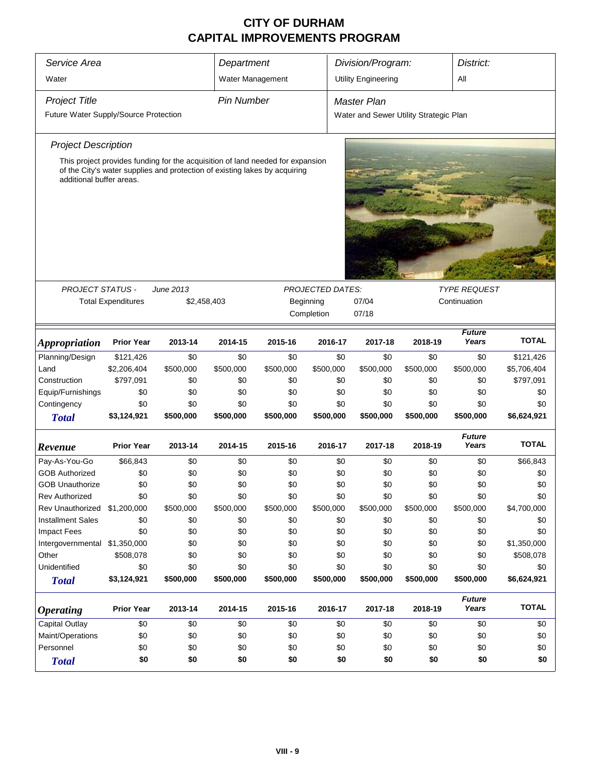| Service Area<br>Department            |                                                                                                                                                              |             |                   |           |                         | Division/Program:<br>District:         |           |                        |              |  |  |  |
|---------------------------------------|--------------------------------------------------------------------------------------------------------------------------------------------------------------|-------------|-------------------|-----------|-------------------------|----------------------------------------|-----------|------------------------|--------------|--|--|--|
| Water                                 |                                                                                                                                                              |             |                   |           |                         |                                        |           | All                    |              |  |  |  |
|                                       |                                                                                                                                                              |             | Water Management  |           |                         | <b>Utility Engineering</b>             |           |                        |              |  |  |  |
| <b>Project Title</b>                  |                                                                                                                                                              |             | <b>Pin Number</b> |           |                         | <b>Master Plan</b>                     |           |                        |              |  |  |  |
| Future Water Supply/Source Protection |                                                                                                                                                              |             |                   |           |                         | Water and Sewer Utility Strategic Plan |           |                        |              |  |  |  |
|                                       |                                                                                                                                                              |             |                   |           |                         |                                        |           |                        |              |  |  |  |
| <b>Project Description</b>            |                                                                                                                                                              |             |                   |           |                         |                                        |           |                        |              |  |  |  |
|                                       | This project provides funding for the acquisition of land needed for expansion<br>of the City's water supplies and protection of existing lakes by acquiring |             |                   |           |                         |                                        |           |                        |              |  |  |  |
| additional buffer areas.              |                                                                                                                                                              |             |                   |           |                         |                                        |           |                        |              |  |  |  |
|                                       |                                                                                                                                                              |             |                   |           |                         |                                        |           |                        |              |  |  |  |
|                                       |                                                                                                                                                              |             |                   |           |                         |                                        |           |                        |              |  |  |  |
|                                       |                                                                                                                                                              |             |                   |           |                         |                                        |           |                        |              |  |  |  |
|                                       |                                                                                                                                                              |             |                   |           |                         |                                        |           |                        |              |  |  |  |
|                                       |                                                                                                                                                              |             |                   |           |                         |                                        |           |                        |              |  |  |  |
|                                       |                                                                                                                                                              |             |                   |           |                         |                                        |           |                        |              |  |  |  |
| <b>PROJECT STATUS -</b>               |                                                                                                                                                              | June 2013   |                   |           | <b>PROJECTED DATES:</b> |                                        |           | <b>TYPE REQUEST</b>    |              |  |  |  |
|                                       | <b>Total Expenditures</b>                                                                                                                                    | \$2,458,403 |                   |           | Beginning               | 07/04                                  |           | Continuation           |              |  |  |  |
|                                       |                                                                                                                                                              |             |                   |           | Completion              | 07/18                                  |           |                        |              |  |  |  |
|                                       |                                                                                                                                                              |             |                   |           |                         |                                        |           |                        |              |  |  |  |
| <i><b>Appropriation</b></i>           | <b>Prior Year</b>                                                                                                                                            | 2013-14     | 2014-15           | 2015-16   | 2016-17                 | 2017-18                                | 2018-19   | <b>Future</b><br>Years | <b>TOTAL</b> |  |  |  |
| Planning/Design                       | \$121,426                                                                                                                                                    | \$0         | \$0               | \$0       | \$0                     | \$0                                    | \$0       | \$0                    | \$121,426    |  |  |  |
| Land                                  | \$2,206,404                                                                                                                                                  | \$500,000   | \$500,000         | \$500,000 | \$500,000               | \$500,000                              | \$500,000 | \$500,000              | \$5,706,404  |  |  |  |
| Construction                          | \$797,091                                                                                                                                                    | \$0         | \$0               | \$0       | \$0                     | \$0                                    | \$0       | \$0                    | \$797,091    |  |  |  |
| Equip/Furnishings                     | \$0                                                                                                                                                          | \$0         | \$0               | \$0       | \$0                     | \$0                                    | \$0       | \$0                    | \$0          |  |  |  |
| Contingency                           | \$0                                                                                                                                                          | \$0         | \$0               | \$0       | \$0                     | \$0                                    | \$0       | \$0                    | \$0          |  |  |  |
| <b>Total</b>                          | \$3,124,921                                                                                                                                                  | \$500,000   | \$500,000         | \$500,000 | \$500,000               | \$500,000                              | \$500,000 | \$500,000              | \$6,624,921  |  |  |  |
|                                       |                                                                                                                                                              |             |                   |           |                         |                                        |           | <b>Future</b>          |              |  |  |  |
| Revenue                               | <b>Prior Year</b>                                                                                                                                            | 2013-14     | 2014-15           | 2015-16   | 2016-17                 | 2017-18                                | 2018-19   | Years                  | <b>TOTAL</b> |  |  |  |
| Pay-As-You-Go                         | \$66,843                                                                                                                                                     | \$0         | \$0               | \$0       | \$0                     | \$0                                    | \$0       | \$0                    | \$66,843     |  |  |  |
| <b>GOB Authorized</b>                 | \$0                                                                                                                                                          | \$0         | \$0               | \$0       | \$0                     | \$0                                    | \$0       | \$0                    | \$0          |  |  |  |
| <b>GOB Unauthorize</b>                | \$0                                                                                                                                                          | \$0         | \$0               | \$0       | \$0                     | \$0                                    | \$0       | \$0                    | \$0          |  |  |  |
| <b>Rev Authorized</b>                 | \$0                                                                                                                                                          | \$0         | \$0               | \$0       | \$0                     | \$0                                    | \$0       | \$0                    | \$0          |  |  |  |
| Rev Unauthorized                      | \$1,200,000                                                                                                                                                  | \$500,000   | \$500,000         | \$500,000 | \$500,000               | \$500,000                              | \$500,000 | \$500,000              | \$4,700,000  |  |  |  |
| <b>Installment Sales</b>              | \$0                                                                                                                                                          | \$0         | \$0               | \$0       | \$0                     | \$0                                    | \$0       | \$0                    | \$0          |  |  |  |
| <b>Impact Fees</b>                    | \$0                                                                                                                                                          | \$0         | \$0               | \$0       | \$0                     | \$0                                    | \$0       | \$0                    | \$0          |  |  |  |
| Intergovernmental \$1,350,000         |                                                                                                                                                              | \$0         | \$0               | \$0       | \$0                     | \$0                                    | \$0       | \$0                    | \$1,350,000  |  |  |  |
| Other                                 | \$508,078                                                                                                                                                    | \$0         | \$0               | \$0       | \$0                     | \$0                                    | \$0       | \$0                    | \$508,078    |  |  |  |
| Unidentified                          | \$0                                                                                                                                                          | \$0         | \$0               | \$0       | \$0                     | \$0                                    | \$0       | \$0                    | \$0          |  |  |  |
| <b>Total</b>                          | \$3,124,921                                                                                                                                                  | \$500,000   | \$500,000         | \$500,000 | \$500,000               | \$500,000                              | \$500,000 | \$500,000              | \$6,624,921  |  |  |  |
|                                       |                                                                                                                                                              |             |                   |           |                         |                                        |           | <b>Future</b>          |              |  |  |  |
| <b>Operating</b>                      | <b>Prior Year</b>                                                                                                                                            | 2013-14     | 2014-15           | 2015-16   | 2016-17                 | 2017-18                                | 2018-19   | Years                  | <b>TOTAL</b> |  |  |  |
| <b>Capital Outlay</b>                 | \$0                                                                                                                                                          | \$0         | \$0               | \$0       | \$0                     | \$0                                    | \$0       | \$0                    | \$0          |  |  |  |
| Maint/Operations                      | \$0                                                                                                                                                          | \$0         | \$0               | \$0       | \$0                     | \$0                                    | \$0       | \$0                    | \$0          |  |  |  |
| Personnel                             | \$0                                                                                                                                                          | \$0         | \$0               | \$0       | \$0                     | \$0                                    | \$0       | \$0                    | \$0          |  |  |  |
| <b>Total</b>                          | \$0                                                                                                                                                          | \$0         | \$0               | \$0       | \$0                     | \$0                                    | \$0       | \$0                    | \$0          |  |  |  |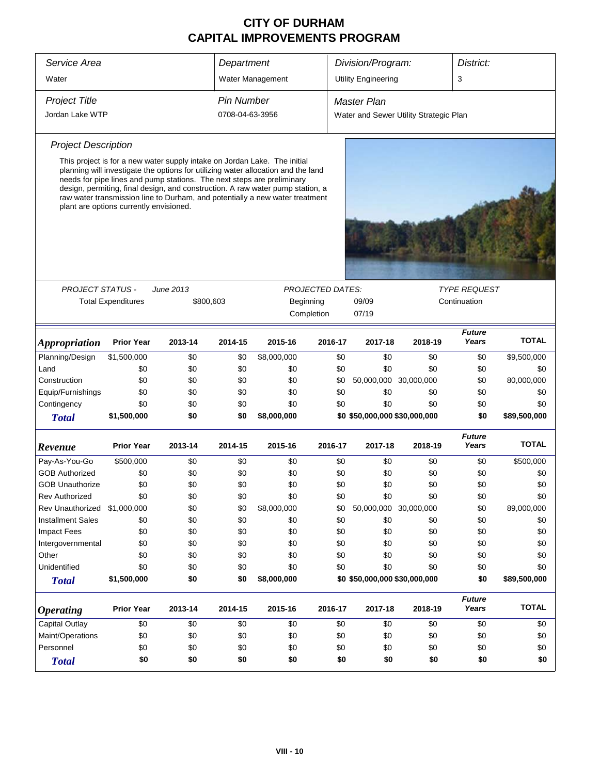| Service Area                |                                                                                                                                                                                                                                                                                                                                                                                                                                                       |                               | Department        |                  |                         | Division/Program:                      |                       | District:                           |              |  |  |
|-----------------------------|-------------------------------------------------------------------------------------------------------------------------------------------------------------------------------------------------------------------------------------------------------------------------------------------------------------------------------------------------------------------------------------------------------------------------------------------------------|-------------------------------|-------------------|------------------|-------------------------|----------------------------------------|-----------------------|-------------------------------------|--------------|--|--|
| Water                       |                                                                                                                                                                                                                                                                                                                                                                                                                                                       |                               |                   | Water Management |                         | <b>Utility Engineering</b>             |                       | 3                                   |              |  |  |
| <b>Project Title</b>        |                                                                                                                                                                                                                                                                                                                                                                                                                                                       |                               | <b>Pin Number</b> |                  |                         | <b>Master Plan</b>                     |                       |                                     |              |  |  |
| Jordan Lake WTP             |                                                                                                                                                                                                                                                                                                                                                                                                                                                       |                               | 0708-04-63-3956   |                  |                         | Water and Sewer Utility Strategic Plan |                       |                                     |              |  |  |
| <b>Project Description</b>  |                                                                                                                                                                                                                                                                                                                                                                                                                                                       |                               |                   |                  |                         |                                        |                       |                                     |              |  |  |
|                             | This project is for a new water supply intake on Jordan Lake. The initial<br>planning will investigate the options for utilizing water allocation and the land<br>needs for pipe lines and pump stations. The next steps are preliminary<br>design, permiting, final design, and construction. A raw water pump station, a<br>raw water transmission line to Durham, and potentially a new water treatment<br>plant are options currently envisioned. |                               |                   |                  |                         |                                        |                       |                                     |              |  |  |
| <b>PROJECT STATUS -</b>     | <b>Total Expenditures</b>                                                                                                                                                                                                                                                                                                                                                                                                                             | <b>June 2013</b><br>\$800,603 |                   | Beginning        | <b>PROJECTED DATES:</b> | 09/09<br>07/19                         |                       | <b>TYPE REQUEST</b><br>Continuation |              |  |  |
|                             |                                                                                                                                                                                                                                                                                                                                                                                                                                                       |                               |                   |                  | Completion              |                                        |                       | <b>Future</b>                       |              |  |  |
| <i><b>Appropriation</b></i> | <b>Prior Year</b>                                                                                                                                                                                                                                                                                                                                                                                                                                     | 2013-14                       | 2014-15           | 2015-16          | 2016-17                 | 2017-18                                | 2018-19               | Years                               | <b>TOTAL</b> |  |  |
| Planning/Design             | \$1,500,000                                                                                                                                                                                                                                                                                                                                                                                                                                           | \$0                           | \$0               | \$8,000,000      | \$0                     | \$0                                    | \$0                   | \$0                                 | \$9,500,000  |  |  |
| Land                        | \$0                                                                                                                                                                                                                                                                                                                                                                                                                                                   | \$0                           | \$0               | \$0              | \$0                     | \$0                                    | \$0                   | \$0                                 | \$0          |  |  |
| Construction                | \$0                                                                                                                                                                                                                                                                                                                                                                                                                                                   | \$0                           | \$0               | \$0              | \$0                     |                                        | 50,000,000 30,000,000 | \$0                                 | 80,000,000   |  |  |
| Equip/Furnishings           | \$0                                                                                                                                                                                                                                                                                                                                                                                                                                                   | \$0                           | \$0               | \$0              | \$0                     | \$0                                    | \$0                   | \$0                                 | \$0          |  |  |
| Contingency                 | \$0                                                                                                                                                                                                                                                                                                                                                                                                                                                   | \$0                           | \$0               | \$0              | \$0                     | \$0                                    | \$0                   | \$0                                 | \$0          |  |  |
| <b>Total</b>                | \$1,500,000                                                                                                                                                                                                                                                                                                                                                                                                                                           | \$0                           | \$0               | \$8,000,000      |                         | \$0 \$50,000,000 \$30,000,000          |                       | \$0                                 | \$89,500,000 |  |  |
| Revenue                     | <b>Prior Year</b>                                                                                                                                                                                                                                                                                                                                                                                                                                     | 2013-14                       | 2014-15           | 2015-16          | 2016-17                 | 2017-18                                | 2018-19               | <b>Future</b><br>Years              | <b>TOTAL</b> |  |  |
| Pay-As-You-Go               | \$500,000                                                                                                                                                                                                                                                                                                                                                                                                                                             | \$0                           | \$0               | \$0              | \$0                     | \$0                                    | \$0                   | \$0                                 | \$500,000    |  |  |
| <b>GOB Authorized</b>       | \$0                                                                                                                                                                                                                                                                                                                                                                                                                                                   | \$0                           | \$0               | \$0              | \$0                     | \$0                                    | \$0                   | \$0                                 | \$0          |  |  |
| <b>GOB Unauthorize</b>      | \$0                                                                                                                                                                                                                                                                                                                                                                                                                                                   | \$0                           | \$0               | \$0              | \$0                     | \$0                                    | \$0                   | \$0                                 | \$0          |  |  |
| <b>Rev Authorized</b>       | \$0                                                                                                                                                                                                                                                                                                                                                                                                                                                   | \$0                           | \$0               | \$0              | \$0                     | \$0                                    | \$0                   | \$0                                 | \$0          |  |  |
| Rev Unauthorized            | \$1,000,000                                                                                                                                                                                                                                                                                                                                                                                                                                           | \$0                           | \$0               | \$8,000,000      | \$0                     |                                        | 50,000,000 30,000,000 | \$0                                 | 89,000,000   |  |  |
| <b>Installment Sales</b>    | \$0                                                                                                                                                                                                                                                                                                                                                                                                                                                   | \$0                           | \$0               | \$0              | \$0                     | \$0                                    | \$0                   | \$0                                 | \$0          |  |  |
| <b>Impact Fees</b>          | \$0                                                                                                                                                                                                                                                                                                                                                                                                                                                   | \$0                           | \$0               | \$0              | \$0                     | \$0                                    | \$0                   | \$0                                 | \$0          |  |  |
| Intergovernmental           | \$0                                                                                                                                                                                                                                                                                                                                                                                                                                                   | \$0                           | \$0               | \$0              | \$0                     | \$0                                    | \$0                   | \$0                                 | \$0          |  |  |
| Other                       | \$0                                                                                                                                                                                                                                                                                                                                                                                                                                                   | \$0                           | \$0               | \$0              | \$0                     | \$0                                    | \$0                   | \$0                                 | \$0          |  |  |
| Unidentified                | \$0                                                                                                                                                                                                                                                                                                                                                                                                                                                   | \$0                           | \$0               | \$0              | \$0                     | \$0                                    | \$0                   | \$0                                 | \$0          |  |  |
|                             | \$1,500,000                                                                                                                                                                                                                                                                                                                                                                                                                                           | \$0                           | \$0               | \$8,000,000      |                         | \$0 \$50,000,000 \$30,000,000          |                       | \$0                                 | \$89,500,000 |  |  |
| <b>Total</b>                |                                                                                                                                                                                                                                                                                                                                                                                                                                                       |                               |                   |                  |                         |                                        |                       |                                     |              |  |  |
| <b>Operating</b>            | <b>Prior Year</b>                                                                                                                                                                                                                                                                                                                                                                                                                                     | 2013-14                       | 2014-15           | 2015-16          | 2016-17                 | 2017-18                                | 2018-19               | <b>Future</b><br>Years              | <b>TOTAL</b> |  |  |
| Capital Outlay              | \$0                                                                                                                                                                                                                                                                                                                                                                                                                                                   | \$0                           | \$0               | \$0              | \$0                     | \$0                                    | \$0                   | \$0                                 | \$0          |  |  |
| Maint/Operations            | \$0                                                                                                                                                                                                                                                                                                                                                                                                                                                   | \$0                           | \$0               | \$0              | \$0                     | \$0                                    | \$0                   | \$0                                 | \$0          |  |  |
|                             |                                                                                                                                                                                                                                                                                                                                                                                                                                                       |                               |                   |                  |                         |                                        |                       |                                     |              |  |  |
| Personnel                   | \$0                                                                                                                                                                                                                                                                                                                                                                                                                                                   | \$0                           | \$0               | \$0              | \$0                     | \$0                                    | \$0                   | \$0                                 | \$0          |  |  |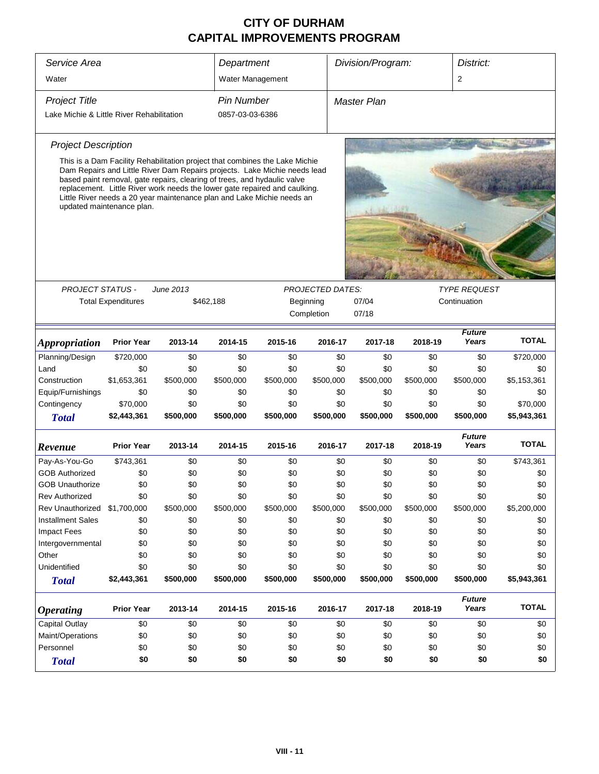| Service Area                              |                                                                                                                                                                                                                                                                                                                                                                                                                           | Division/Program:<br>District:<br>Department |                   |           |                         |                    |              |                        |              |
|-------------------------------------------|---------------------------------------------------------------------------------------------------------------------------------------------------------------------------------------------------------------------------------------------------------------------------------------------------------------------------------------------------------------------------------------------------------------------------|----------------------------------------------|-------------------|-----------|-------------------------|--------------------|--------------|------------------------|--------------|
| Water                                     |                                                                                                                                                                                                                                                                                                                                                                                                                           |                                              | Water Management  |           |                         |                    |              | 2                      |              |
| <b>Project Title</b>                      |                                                                                                                                                                                                                                                                                                                                                                                                                           |                                              | <b>Pin Number</b> |           |                         | <b>Master Plan</b> |              |                        |              |
| Lake Michie & Little River Rehabilitation |                                                                                                                                                                                                                                                                                                                                                                                                                           |                                              | 0857-03-03-6386   |           |                         |                    |              |                        |              |
| <b>Project Description</b>                |                                                                                                                                                                                                                                                                                                                                                                                                                           |                                              |                   |           |                         |                    |              |                        |              |
|                                           | This is a Dam Facility Rehabilitation project that combines the Lake Michie<br>Dam Repairs and Little River Dam Repairs projects. Lake Michie needs lead<br>based paint removal, gate repairs, clearing of trees, and hydaulic valve<br>replacement. Little River work needs the lower gate repaired and caulking.<br>Little River needs a 20 year maintenance plan and Lake Michie needs an<br>updated maintenance plan. |                                              |                   |           |                         |                    |              |                        |              |
|                                           |                                                                                                                                                                                                                                                                                                                                                                                                                           |                                              |                   |           |                         |                    |              |                        |              |
| <b>PROJECT STATUS -</b>                   |                                                                                                                                                                                                                                                                                                                                                                                                                           | <b>June 2013</b>                             |                   |           | <b>PROJECTED DATES:</b> |                    |              | <b>TYPE REQUEST</b>    |              |
|                                           | <b>Total Expenditures</b>                                                                                                                                                                                                                                                                                                                                                                                                 |                                              | \$462,188         |           | Beginning<br>Completion | 07/04<br>07/18     | Continuation |                        |              |
| <i><b>Appropriation</b></i>               | <b>Prior Year</b>                                                                                                                                                                                                                                                                                                                                                                                                         | 2013-14                                      | 2014-15           | 2015-16   | 2016-17                 | 2017-18            | 2018-19      | <b>Future</b><br>Years | <b>TOTAL</b> |
| Planning/Design                           | \$720,000                                                                                                                                                                                                                                                                                                                                                                                                                 | \$0                                          | \$0               | \$0       | \$0                     | \$0                | \$0          | \$0                    | \$720,000    |
| Land                                      | \$0                                                                                                                                                                                                                                                                                                                                                                                                                       | \$0                                          | \$0               | \$0       | \$0                     | \$0                | \$0          | \$0                    | \$0          |
| Construction                              | \$1,653,361                                                                                                                                                                                                                                                                                                                                                                                                               | \$500,000                                    | \$500,000         | \$500,000 | \$500,000               | \$500,000          | \$500,000    | \$500,000              | \$5,153,361  |
| Equip/Furnishings                         | \$0                                                                                                                                                                                                                                                                                                                                                                                                                       | \$0                                          | \$0               | \$0       | \$0                     | \$0                | \$0          | \$0                    | \$0          |
| Contingency                               | \$70,000                                                                                                                                                                                                                                                                                                                                                                                                                  | \$0                                          | \$0               | \$0       | \$0                     | \$0                | \$0          | \$0                    | \$70,000     |
| <b>Total</b>                              | \$2,443,361                                                                                                                                                                                                                                                                                                                                                                                                               | \$500,000                                    | \$500,000         | \$500,000 | \$500,000               | \$500,000          | \$500,000    | \$500,000              | \$5,943,361  |
| Revenue                                   | <b>Prior Year</b>                                                                                                                                                                                                                                                                                                                                                                                                         | 2013-14                                      | 2014-15           | 2015-16   | 2016-17                 | 2017-18            | 2018-19      | <b>Future</b><br>Years | <b>TOTAL</b> |
| Pay-As-You-Go                             | \$743,361                                                                                                                                                                                                                                                                                                                                                                                                                 | \$0                                          | \$0               | \$0       | \$0                     | \$0                | \$0          | \$0                    | \$743,361    |
| <b>GOB Authorized</b>                     | \$0                                                                                                                                                                                                                                                                                                                                                                                                                       | \$0                                          | \$0               | \$0       | \$0                     | \$0                | \$0          | \$0                    | \$0          |
| <b>GOB Unauthorize</b>                    | \$0                                                                                                                                                                                                                                                                                                                                                                                                                       | \$0                                          | \$0               | \$0       | \$0                     | \$0                | \$0          | \$0                    | \$0          |
| Rev Authorized                            | \$0                                                                                                                                                                                                                                                                                                                                                                                                                       | \$0                                          | \$0               | \$0       | \$0                     | \$0                | \$0          | \$0                    | \$0          |
| Rev Unauthorized                          | \$1,700,000                                                                                                                                                                                                                                                                                                                                                                                                               | \$500,000                                    | \$500,000         | \$500,000 | \$500,000               | \$500,000          | \$500,000    | \$500,000              | \$5,200,000  |
| <b>Installment Sales</b>                  | \$0                                                                                                                                                                                                                                                                                                                                                                                                                       | \$0                                          | \$0               | \$0       | \$0                     | \$0                | \$0          | \$0                    | \$0          |
| <b>Impact Fees</b>                        | \$0                                                                                                                                                                                                                                                                                                                                                                                                                       | \$0                                          | \$0               | \$0       | \$0                     | \$0                | \$0          | \$0                    | \$0          |
| Intergovernmental                         | \$0                                                                                                                                                                                                                                                                                                                                                                                                                       | \$0                                          | \$0               | \$0       | \$0                     | \$0                | \$0          | \$0                    | \$0          |
| Other                                     | \$0                                                                                                                                                                                                                                                                                                                                                                                                                       | \$0                                          | \$0               | \$0       | \$0                     | \$0                | \$0          | \$0                    | \$0          |
| Unidentified                              | \$0                                                                                                                                                                                                                                                                                                                                                                                                                       | \$0                                          | \$0               | \$0       | \$0                     | \$0                | \$0          | \$0                    | \$0          |
| <b>Total</b>                              | \$2,443,361                                                                                                                                                                                                                                                                                                                                                                                                               | \$500,000                                    | \$500,000         | \$500,000 | \$500,000               | \$500,000          | \$500,000    | \$500,000              | \$5,943,361  |
| <b>Operating</b>                          | <b>Prior Year</b>                                                                                                                                                                                                                                                                                                                                                                                                         | 2013-14                                      | 2014-15           | 2015-16   | 2016-17                 | 2017-18            | 2018-19      | <b>Future</b><br>Years | <b>TOTAL</b> |
| <b>Capital Outlay</b>                     | \$0                                                                                                                                                                                                                                                                                                                                                                                                                       | \$0                                          | \$0               | \$0       | \$0                     | \$0                | \$0          | \$0                    | \$0          |
| Maint/Operations                          | \$0                                                                                                                                                                                                                                                                                                                                                                                                                       | \$0                                          | \$0               | \$0       | \$0                     | \$0                | \$0          | \$0                    | \$0          |
| Personnel                                 | \$0                                                                                                                                                                                                                                                                                                                                                                                                                       | \$0                                          | \$0               | \$0       | \$0                     | \$0                | \$0          | \$0                    | \$0          |
| <b>Total</b>                              | \$0                                                                                                                                                                                                                                                                                                                                                                                                                       | \$0                                          | \$0               | \$0       | \$0                     | \$0                | \$0          | \$0                    | \$0          |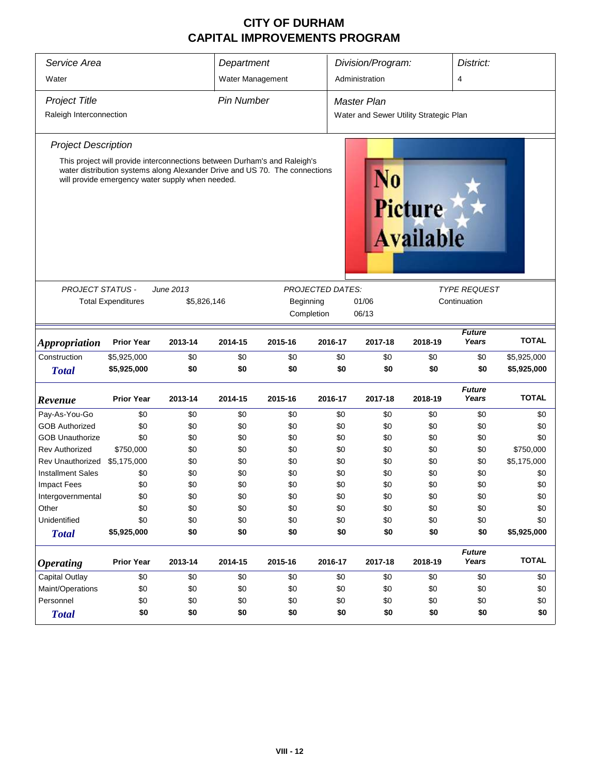| Service Area                                                                                                                                                                                                                                      | Department                |             |                  |                                                                                   |                         | Division/Program: |         | District:              |              |  |
|---------------------------------------------------------------------------------------------------------------------------------------------------------------------------------------------------------------------------------------------------|---------------------------|-------------|------------------|-----------------------------------------------------------------------------------|-------------------------|-------------------|---------|------------------------|--------------|--|
| Water                                                                                                                                                                                                                                             |                           |             | Water Management |                                                                                   |                         | Administration    |         | $\overline{4}$         |              |  |
| <b>Project Title</b><br>Raleigh Interconnection                                                                                                                                                                                                   |                           |             |                  | <b>Pin Number</b><br><b>Master Plan</b><br>Water and Sewer Utility Strategic Plan |                         |                   |         |                        |              |  |
| <b>Project Description</b>                                                                                                                                                                                                                        |                           |             |                  |                                                                                   |                         |                   |         |                        |              |  |
| This project will provide interconnections between Durham's and Raleigh's<br>water distribution systems along Alexander Drive and US 70. The connections<br>N0<br>will provide emergency water supply when needed.<br>Picture<br><b>Available</b> |                           |             |                  |                                                                                   |                         |                   |         |                        |              |  |
| <b>PROJECT STATUS -</b>                                                                                                                                                                                                                           |                           | June 2013   |                  |                                                                                   | <b>PROJECTED DATES:</b> |                   |         | <b>TYPE REQUEST</b>    |              |  |
|                                                                                                                                                                                                                                                   | <b>Total Expenditures</b> | \$5,826,146 |                  | Beginning                                                                         |                         | 01/06             |         | Continuation           |              |  |
|                                                                                                                                                                                                                                                   |                           |             |                  |                                                                                   | Completion              | 06/13             |         |                        |              |  |
|                                                                                                                                                                                                                                                   |                           |             |                  |                                                                                   |                         |                   |         |                        |              |  |
| <b>Appropriation</b>                                                                                                                                                                                                                              | <b>Prior Year</b>         | 2013-14     | 2014-15          | 2015-16                                                                           | 2016-17                 | 2017-18           | 2018-19 | <b>Future</b><br>Years | <b>TOTAL</b> |  |
| Construction                                                                                                                                                                                                                                      | \$5,925,000               | \$0         | \$0              | \$0                                                                               | \$0                     | \$0               | \$0     | \$0                    | \$5,925,000  |  |
| <b>Total</b>                                                                                                                                                                                                                                      | \$5,925,000               | \$0         | \$0              | \$0                                                                               | \$0                     | \$0               | \$0     | \$0                    | \$5,925,000  |  |
| Revenue                                                                                                                                                                                                                                           | <b>Prior Year</b>         | 2013-14     | 2014-15          | 2015-16                                                                           | 2016-17                 | 2017-18           | 2018-19 | <b>Future</b><br>Years | <b>TOTAL</b> |  |
| Pay-As-You-Go                                                                                                                                                                                                                                     | \$0                       | \$0         | \$0              | \$0                                                                               | \$0                     | \$0               | \$0     | \$0                    | \$0          |  |
| <b>GOB Authorized</b>                                                                                                                                                                                                                             | \$0                       | \$0         | \$0              | \$0                                                                               | \$0                     | \$0               | \$0     | \$0                    | \$0          |  |
| <b>GOB Unauthorize</b>                                                                                                                                                                                                                            | \$0                       | \$0         | \$0              | \$0                                                                               | \$0                     | \$0               | \$0     | \$0                    | \$0          |  |
| <b>Rev Authorized</b>                                                                                                                                                                                                                             | \$750,000                 | \$0         | \$0              | \$0                                                                               | \$0                     | \$0               | \$0     | \$0                    | \$750,000    |  |
| Rev Unauthorized                                                                                                                                                                                                                                  | \$5,175,000               | \$0         | \$0              | \$0                                                                               | \$0                     | \$0               | \$0     | \$0                    | \$5,175,000  |  |
| <b>Installment Sales</b>                                                                                                                                                                                                                          | \$0                       | \$0         | \$0              | \$0                                                                               | \$0                     | \$0               | \$0     | \$0                    | \$0          |  |
| Impact Fees                                                                                                                                                                                                                                       | \$0                       | \$0         | \$0              | \$0                                                                               | \$0                     | \$0               | \$0     | \$0                    | \$0          |  |
| Intergovernmental                                                                                                                                                                                                                                 | \$0                       | \$0         | \$0              | \$0                                                                               | \$0                     | \$0               | \$0     | \$0                    | \$0          |  |
| Other                                                                                                                                                                                                                                             | \$0                       | \$0         | \$0              | \$0                                                                               | \$0                     | \$0               | \$0     | \$0                    | \$0          |  |
| Unidentified                                                                                                                                                                                                                                      | \$0                       | \$0         | \$0              | \$0                                                                               | \$0                     | \$0               | \$0     | \$0                    | \$0          |  |
| <b>Total</b>                                                                                                                                                                                                                                      | \$5,925,000               | \$0         | \$0              | \$0                                                                               | \$0                     | \$0               | \$0     | \$0                    | \$5,925,000  |  |
| <b>Operating</b>                                                                                                                                                                                                                                  | <b>Prior Year</b>         | 2013-14     | 2014-15          | 2015-16                                                                           | 2016-17                 | 2017-18           | 2018-19 | <b>Future</b><br>Years | <b>TOTAL</b> |  |
| Capital Outlay                                                                                                                                                                                                                                    | \$0                       | \$0         | \$0              | \$0                                                                               | \$0                     | \$0               | \$0     | \$0                    | \$0          |  |
| Maint/Operations                                                                                                                                                                                                                                  | \$0                       | \$0         | \$0              | \$0                                                                               | \$0                     | \$0               | \$0     | \$0                    | \$0          |  |
| Personnel                                                                                                                                                                                                                                         | \$0                       | \$0         | \$0              | \$0                                                                               | \$0                     | \$0               | \$0     | \$0                    | \$0          |  |
| <b>Total</b>                                                                                                                                                                                                                                      | \$0                       | \$0         | \$0              | \$0                                                                               | \$0                     | \$0               | \$0     | \$0                    | \$0          |  |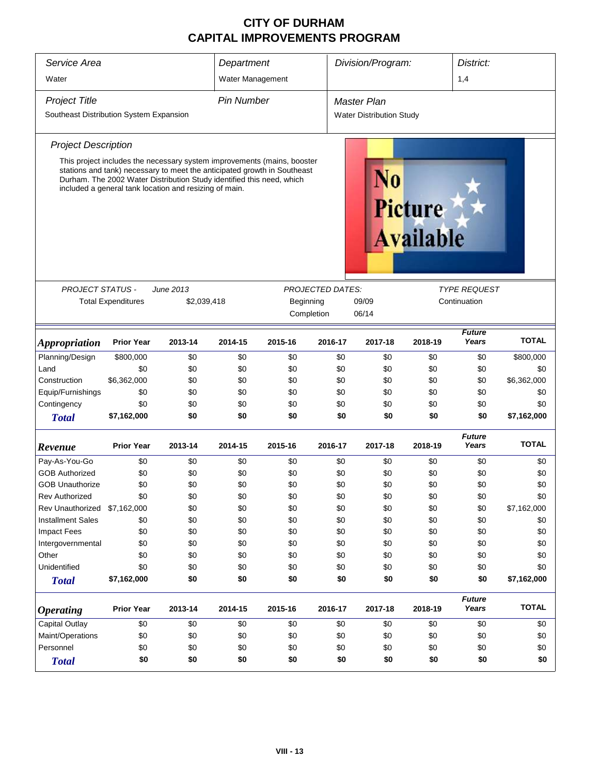| Service Area                            | Department                                                                                                                                                                                                                                                                             |             |                   | Division/Program:<br>District: |                         |                                    |         |                        |              |  |  |
|-----------------------------------------|----------------------------------------------------------------------------------------------------------------------------------------------------------------------------------------------------------------------------------------------------------------------------------------|-------------|-------------------|--------------------------------|-------------------------|------------------------------------|---------|------------------------|--------------|--|--|
| Water                                   |                                                                                                                                                                                                                                                                                        |             | Water Management  |                                |                         |                                    |         | 1,4                    |              |  |  |
| <b>Project Title</b>                    |                                                                                                                                                                                                                                                                                        |             | <b>Pin Number</b> |                                |                         | <b>Master Plan</b>                 |         |                        |              |  |  |
| Southeast Distribution System Expansion |                                                                                                                                                                                                                                                                                        |             |                   |                                |                         | <b>Water Distribution Study</b>    |         |                        |              |  |  |
| <b>Project Description</b>              |                                                                                                                                                                                                                                                                                        |             |                   |                                |                         |                                    |         |                        |              |  |  |
|                                         | This project includes the necessary system improvements (mains, booster<br>stations and tank) necessary to meet the anticipated growth in Southeast<br>Durham. The 2002 Water Distribution Study identified this need, which<br>included a general tank location and resizing of main. |             |                   |                                | VO                      | <b>Picture</b><br><b>Available</b> |         |                        |              |  |  |
| <b>PROJECT STATUS -</b>                 |                                                                                                                                                                                                                                                                                        | June 2013   |                   |                                | <b>PROJECTED DATES:</b> |                                    |         | <i>TYPE REQUEST</i>    |              |  |  |
|                                         | <b>Total Expenditures</b>                                                                                                                                                                                                                                                              | \$2,039,418 |                   | Beginning                      |                         | 09/09                              |         | Continuation           |              |  |  |
|                                         | Completion                                                                                                                                                                                                                                                                             |             |                   |                                |                         |                                    |         |                        |              |  |  |
|                                         |                                                                                                                                                                                                                                                                                        |             |                   |                                |                         |                                    |         | <b>Future</b>          |              |  |  |
| <b>Appropriation</b>                    | <b>Prior Year</b>                                                                                                                                                                                                                                                                      | 2013-14     | 2014-15           | 2015-16                        | 2016-17                 | 2017-18                            | 2018-19 | Years                  | <b>TOTAL</b> |  |  |
| Planning/Design                         | \$800,000                                                                                                                                                                                                                                                                              | \$0         | \$0               | \$0                            | \$0                     | \$0                                | \$0     | \$0                    | \$800,000    |  |  |
| Land                                    | \$0                                                                                                                                                                                                                                                                                    | \$0         | \$0               | \$0                            | \$0                     | \$0                                | \$0     | \$0                    | \$0          |  |  |
| Construction                            | \$6,362,000                                                                                                                                                                                                                                                                            | \$0         | \$0               | \$0                            | \$0                     | \$0                                | \$0     | \$0                    | \$6,362,000  |  |  |
| Equip/Furnishings                       | \$0                                                                                                                                                                                                                                                                                    | \$0         | \$0               | \$0                            | \$0                     | \$0                                | \$0     | \$0                    | \$0          |  |  |
| Contingency                             | \$0                                                                                                                                                                                                                                                                                    | \$0         | \$0               | \$0                            | \$0                     | \$0                                | \$0     | \$0                    | \$0          |  |  |
| <b>Total</b>                            | \$7,162,000                                                                                                                                                                                                                                                                            | \$0         | \$0               | \$0                            | \$0                     | \$0                                | \$0     | \$0                    | \$7,162,000  |  |  |
| Revenue                                 | <b>Prior Year</b>                                                                                                                                                                                                                                                                      | 2013-14     | 2014-15           | 2015-16                        | 2016-17                 | 2017-18                            | 2018-19 | <b>Future</b><br>Years | <b>TOTAL</b> |  |  |
| Pay-As-You-Go                           | \$0                                                                                                                                                                                                                                                                                    | \$0         | \$0               | \$0                            | \$0                     | \$0                                | \$0     | \$0                    | \$0          |  |  |
| <b>GOB Authorized</b>                   | \$0                                                                                                                                                                                                                                                                                    | \$0         | \$0               | \$0                            | \$0                     | \$0                                | \$0     | \$0                    | \$0          |  |  |
| <b>GOB Unauthorize</b>                  | \$0                                                                                                                                                                                                                                                                                    | \$0         | \$0               | \$0                            | \$0                     | \$0                                | \$0     | \$0                    | \$0          |  |  |
| <b>Rev Authorized</b>                   | \$0                                                                                                                                                                                                                                                                                    | \$0         | \$0               | \$0                            | \$0                     | \$0                                | \$0     | \$0                    | \$0          |  |  |
| Rev Unauthorized                        | \$7,162,000                                                                                                                                                                                                                                                                            | \$0         | \$0               | \$0                            | \$0                     | \$0                                | \$0     | \$0                    | \$7,162,000  |  |  |
| <b>Installment Sales</b>                | \$0                                                                                                                                                                                                                                                                                    | \$0         | \$0               | \$0                            | \$0                     | \$0                                | \$0     | \$0                    | \$0          |  |  |
| <b>Impact Fees</b>                      | \$0                                                                                                                                                                                                                                                                                    | \$0         | \$0               | \$0                            | \$0                     | \$0                                | \$0     | \$0                    | \$0          |  |  |
| Intergovernmental                       | \$0                                                                                                                                                                                                                                                                                    | \$0         | \$0               | \$0                            | \$0                     | \$0                                | \$0     | \$0                    | \$0          |  |  |
| Other                                   | \$0                                                                                                                                                                                                                                                                                    | \$0         | \$0               | \$0                            | \$0                     | \$0                                | \$0     | \$0                    | \$0          |  |  |
| Unidentified                            | \$0                                                                                                                                                                                                                                                                                    | \$0         | \$0               | \$0                            | \$0                     | \$0                                | \$0     | \$0                    | \$0          |  |  |
| <b>Total</b>                            | \$7,162,000                                                                                                                                                                                                                                                                            | \$0         | \$0               | \$0                            | \$0                     | \$0                                | \$0     | \$0                    | \$7,162,000  |  |  |
| <b>Operating</b>                        | <b>Prior Year</b>                                                                                                                                                                                                                                                                      | 2013-14     | 2014-15           | 2015-16                        | 2016-17                 | 2017-18                            | 2018-19 | <b>Future</b><br>Years | <b>TOTAL</b> |  |  |
| Capital Outlay                          | \$0                                                                                                                                                                                                                                                                                    | \$0         | \$0               | \$0                            | \$0                     | \$0                                | \$0     | \$0                    | \$0          |  |  |
| Maint/Operations                        | \$0                                                                                                                                                                                                                                                                                    | \$0         | \$0               | \$0                            | \$0                     | \$0                                | \$0     | \$0                    | \$0          |  |  |
| Personnel                               | \$0                                                                                                                                                                                                                                                                                    | \$0         | \$0               | \$0                            | \$0                     | \$0                                | \$0     | \$0                    | \$0          |  |  |
| <b>Total</b>                            | \$0                                                                                                                                                                                                                                                                                    | \$0         | \$0               | \$0                            | \$0                     | \$0                                | \$0     | \$0                    | \$0          |  |  |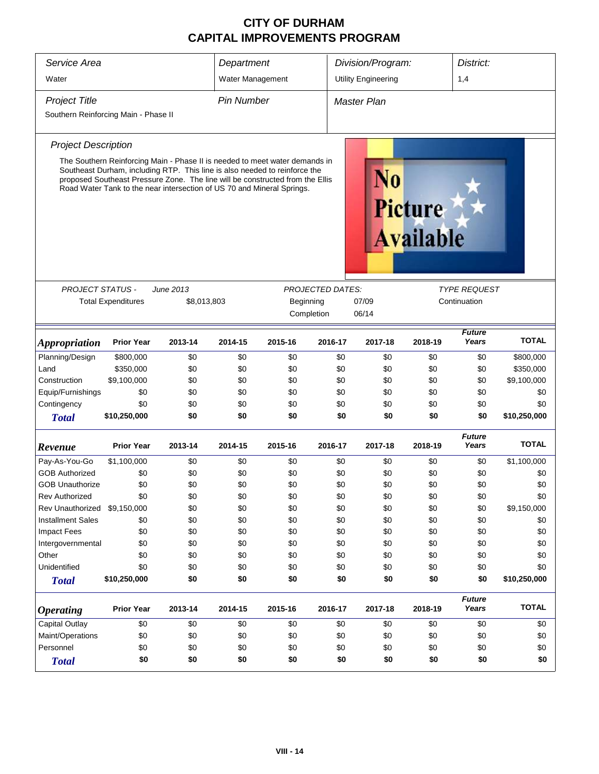| Service Area                         |                                                                                                                                                                                                                                                                                                                      | Department                                                        |                   |         | Division/Program:                                     |                            | District:                          |                        |              |
|--------------------------------------|----------------------------------------------------------------------------------------------------------------------------------------------------------------------------------------------------------------------------------------------------------------------------------------------------------------------|-------------------------------------------------------------------|-------------------|---------|-------------------------------------------------------|----------------------------|------------------------------------|------------------------|--------------|
| Water                                |                                                                                                                                                                                                                                                                                                                      |                                                                   | Water Management  |         |                                                       | <b>Utility Engineering</b> |                                    | 1,4                    |              |
|                                      |                                                                                                                                                                                                                                                                                                                      |                                                                   |                   |         |                                                       |                            |                                    |                        |              |
| <b>Project Title</b>                 |                                                                                                                                                                                                                                                                                                                      |                                                                   | <b>Pin Number</b> |         |                                                       | Master Plan                |                                    |                        |              |
| Southern Reinforcing Main - Phase II |                                                                                                                                                                                                                                                                                                                      |                                                                   |                   |         |                                                       |                            |                                    |                        |              |
| <b>Project Description</b>           |                                                                                                                                                                                                                                                                                                                      |                                                                   |                   |         |                                                       |                            |                                    |                        |              |
|                                      | The Southern Reinforcing Main - Phase II is needed to meet water demands in<br>Southeast Durham, including RTP. This line is also needed to reinforce the<br>proposed Southeast Pressure Zone. The line will be constructed from the Ellis<br>Road Water Tank to the near intersection of US 70 and Mineral Springs. |                                                                   |                   |         |                                                       | N0                         | <b>Picture</b><br><b>Available</b> |                        |              |
|                                      |                                                                                                                                                                                                                                                                                                                      | June 2013                                                         |                   |         |                                                       |                            |                                    |                        |              |
| <b>PROJECT STATUS -</b>              | <b>Total Expenditures</b>                                                                                                                                                                                                                                                                                            | <b>PROJECTED DATES:</b><br>\$8,013,803<br>Beginning<br>Completion |                   |         | <b>TYPE REQUEST</b><br>07/09<br>Continuation<br>06/14 |                            |                                    |                        |              |
| <b>Appropriation</b>                 | <b>Prior Year</b>                                                                                                                                                                                                                                                                                                    | 2013-14                                                           | 2014-15           | 2015-16 | 2016-17                                               | 2017-18                    | 2018-19                            | <b>Future</b><br>Years | <b>TOTAL</b> |
| Planning/Design                      | \$800,000                                                                                                                                                                                                                                                                                                            | \$0                                                               | \$0               | \$0     | \$0                                                   | \$0                        | \$0                                | \$0                    | \$800,000    |
| Land                                 | \$350,000                                                                                                                                                                                                                                                                                                            | \$0                                                               | \$0               | \$0     | \$0                                                   | \$0                        | \$0                                | \$0                    | \$350,000    |
| Construction                         | \$9,100,000                                                                                                                                                                                                                                                                                                          | \$0                                                               | \$0               | \$0     | \$0                                                   | \$0                        | \$0                                | \$0                    | \$9,100,000  |
| Equip/Furnishings                    | \$0                                                                                                                                                                                                                                                                                                                  | \$0                                                               | \$0               | \$0     | \$0                                                   | \$0                        | \$0                                | \$0                    | \$0          |
| Contingency                          | \$0                                                                                                                                                                                                                                                                                                                  | \$0                                                               | \$0               | \$0     | \$0                                                   | \$0                        | \$0                                | \$0                    | \$0          |
| <b>Total</b>                         | \$10,250,000                                                                                                                                                                                                                                                                                                         | \$0                                                               | \$0               | \$0     | \$0                                                   | \$0                        | \$0                                | \$0                    | \$10,250,000 |
| Revenue                              | <b>Prior Year</b>                                                                                                                                                                                                                                                                                                    | 2013-14                                                           | 2014-15           | 2015-16 | 2016-17                                               | 2017-18                    | 2018-19                            | <b>Future</b><br>Years | <b>TOTAL</b> |
| Pay-As-You-Go                        | \$1,100,000                                                                                                                                                                                                                                                                                                          | \$0                                                               | \$0               | \$0     | \$0                                                   | \$0                        | \$0                                | \$0                    | \$1,100,000  |
| <b>GOB Authorized</b>                | \$0                                                                                                                                                                                                                                                                                                                  | \$0                                                               | \$0               | \$0     | \$0                                                   | \$0                        | \$0                                | \$0                    | \$0          |
| <b>GOB Unauthorize</b>               | \$0                                                                                                                                                                                                                                                                                                                  | \$0                                                               | \$0               | \$0     | \$0                                                   | \$0                        | \$0                                | \$0                    | \$0          |
| Rev Authorized                       | \$0                                                                                                                                                                                                                                                                                                                  | \$0                                                               | \$0               | \$0     | \$0                                                   | \$0                        | \$0                                | \$0                    | \$0          |
| Rev Unauthorized \$9,150,000         |                                                                                                                                                                                                                                                                                                                      | \$0                                                               | \$0               | \$0     | \$0                                                   | \$0                        | \$0                                | \$0                    | \$9,150,000  |
| <b>Installment Sales</b>             | \$0                                                                                                                                                                                                                                                                                                                  | \$0                                                               | \$0               | \$0     | \$0                                                   | \$0                        | \$0                                | \$0                    | \$0          |
| <b>Impact Fees</b>                   | \$0                                                                                                                                                                                                                                                                                                                  | \$0                                                               | \$0               | \$0     | \$0                                                   | \$0                        | \$0                                | \$0                    | \$0          |
| Intergovernmental                    | \$0                                                                                                                                                                                                                                                                                                                  | \$0                                                               | \$0               | \$0     | \$0                                                   | \$0                        | \$0                                | \$0                    | \$0          |
| Other                                | \$0                                                                                                                                                                                                                                                                                                                  | \$0                                                               | \$0               | \$0     | \$0                                                   | \$0                        | \$0                                | \$0                    | \$0          |
| Unidentified                         | \$0                                                                                                                                                                                                                                                                                                                  | \$0                                                               | \$0               | \$0     | \$0                                                   | \$0                        | \$0                                | \$0                    | \$0          |
| <b>Total</b>                         | \$10,250,000                                                                                                                                                                                                                                                                                                         | \$0                                                               | \$0               | \$0     | \$0                                                   | \$0                        | \$0                                | \$0                    | \$10,250,000 |
| <b>Operating</b>                     | <b>Prior Year</b>                                                                                                                                                                                                                                                                                                    | 2013-14                                                           | 2014-15           | 2015-16 | 2016-17                                               | 2017-18                    | 2018-19                            | <b>Future</b><br>Years | <b>TOTAL</b> |
| <b>Capital Outlay</b>                | \$0                                                                                                                                                                                                                                                                                                                  | \$0                                                               | \$0               | \$0     | \$0                                                   | \$0                        | \$0                                | \$0                    | \$0          |
| Maint/Operations                     | \$0                                                                                                                                                                                                                                                                                                                  | \$0                                                               | \$0               | \$0     | \$0                                                   | \$0                        | \$0                                | \$0                    | \$0          |
| Personnel                            | \$0                                                                                                                                                                                                                                                                                                                  | \$0                                                               | \$0               | \$0     | \$0                                                   | \$0                        | \$0                                | \$0                    | \$0          |
| <b>Total</b>                         | \$0                                                                                                                                                                                                                                                                                                                  | \$0                                                               | \$0               | \$0     | \$0                                                   | \$0                        | \$0                                | \$0                    | \$0          |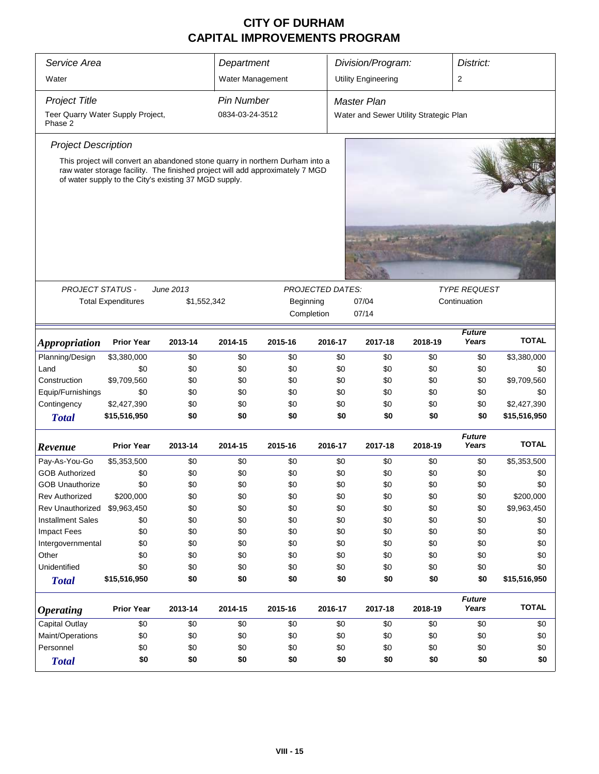| Service Area                                                                                                                                                                                                            |                           |             | Department        |           |                  | Division/Program:<br>District:         |         |                        |              |  |  |
|-------------------------------------------------------------------------------------------------------------------------------------------------------------------------------------------------------------------------|---------------------------|-------------|-------------------|-----------|------------------|----------------------------------------|---------|------------------------|--------------|--|--|
| Water                                                                                                                                                                                                                   |                           |             | Water Management  |           |                  | <b>Utility Engineering</b>             |         | 2                      |              |  |  |
| <b>Project Title</b>                                                                                                                                                                                                    |                           |             | <b>Pin Number</b> |           |                  | <b>Master Plan</b>                     |         |                        |              |  |  |
| Teer Quarry Water Supply Project,                                                                                                                                                                                       |                           |             | 0834-03-24-3512   |           |                  | Water and Sewer Utility Strategic Plan |         |                        |              |  |  |
| Phase 2                                                                                                                                                                                                                 |                           |             |                   |           |                  |                                        |         |                        |              |  |  |
| <b>Project Description</b>                                                                                                                                                                                              |                           |             |                   |           |                  |                                        |         |                        |              |  |  |
| This project will convert an abandoned stone quarry in northern Durham into a<br>raw water storage facility. The finished project will add approximately 7 MGD<br>of water supply to the City's existing 37 MGD supply. |                           |             |                   |           |                  |                                        |         |                        |              |  |  |
|                                                                                                                                                                                                                         |                           |             |                   |           |                  |                                        |         |                        |              |  |  |
|                                                                                                                                                                                                                         |                           |             |                   |           |                  |                                        |         |                        |              |  |  |
| <b>PROJECT STATUS -</b>                                                                                                                                                                                                 |                           | June 2013   |                   |           | PROJECTED DATES: |                                        |         | <b>TYPE REQUEST</b>    |              |  |  |
|                                                                                                                                                                                                                         | <b>Total Expenditures</b> | \$1,552,342 |                   | Beginning |                  | 07/04                                  |         | Continuation           |              |  |  |
|                                                                                                                                                                                                                         |                           |             |                   |           | Completion       | 07/14                                  |         |                        |              |  |  |
| <i><b>Appropriation</b></i>                                                                                                                                                                                             | <b>Prior Year</b>         | 2013-14     | 2014-15           | 2015-16   | 2016-17          | 2017-18                                | 2018-19 | <b>Future</b><br>Years | <b>TOTAL</b> |  |  |
| Planning/Design                                                                                                                                                                                                         | \$3,380,000               | \$0         | \$0               | \$0       | \$0              | \$0                                    | \$0     | \$0                    | \$3,380,000  |  |  |
| Land                                                                                                                                                                                                                    | \$0                       | \$0         | \$0               | \$0       | \$0              | \$0                                    | \$0     | \$0                    | \$0          |  |  |
| Construction                                                                                                                                                                                                            | \$9,709,560               | \$0         | \$0               | \$0       | \$0              | \$0                                    | \$0     | \$0                    | \$9,709,560  |  |  |
| Equip/Furnishings                                                                                                                                                                                                       | \$0                       | \$0         | \$0               | \$0       | \$0              | \$0                                    | \$0     | \$0                    | \$0          |  |  |
| Contingency                                                                                                                                                                                                             | \$2,427,390               | \$0         | \$0               | \$0       | \$0              | \$0                                    | \$0     | \$0                    | \$2,427,390  |  |  |
| <b>Total</b>                                                                                                                                                                                                            | \$15,516,950              | \$0         | \$0               | \$0       | \$0              | \$0                                    | \$0     | \$0                    | \$15,516,950 |  |  |
| Revenue                                                                                                                                                                                                                 | <b>Prior Year</b>         | 2013-14     | 2014-15           | 2015-16   | 2016-17          | 2017-18                                | 2018-19 | <b>Future</b><br>Years | <b>TOTAL</b> |  |  |
| Pay-As-You-Go                                                                                                                                                                                                           | \$5,353,500               | \$0         | \$0               | \$0       | \$0              | \$0                                    | \$0     | \$0                    | \$5,353,500  |  |  |
| <b>GOB Authorized</b>                                                                                                                                                                                                   | \$0                       | \$0         | \$0               | \$0       | \$0              | \$0                                    | \$0     | \$0                    | \$0          |  |  |
| <b>GOB Unauthorize</b>                                                                                                                                                                                                  | \$0                       | \$0         | \$0               | \$0       | \$0              | \$0                                    | \$0     | \$0                    | \$0          |  |  |
| <b>Rev Authorized</b>                                                                                                                                                                                                   | \$200,000                 | \$0         | \$0               | \$0       | \$0              | \$0                                    | \$0     | \$0                    | \$200,000    |  |  |
| Rev Unauthorized                                                                                                                                                                                                        | \$9,963,450               | \$0         | \$0               | \$0       | \$0              | \$0                                    | \$0     | \$0                    | \$9,963,450  |  |  |
| <b>Installment Sales</b>                                                                                                                                                                                                | \$0                       | \$0         | \$0               | \$0       | \$0              | \$0                                    | \$0     | \$0                    | \$0          |  |  |
| <b>Impact Fees</b>                                                                                                                                                                                                      | \$0                       | \$0         | \$0               | \$0       | \$0              | \$0                                    | \$0     | \$0                    | \$0          |  |  |
| Intergovernmental                                                                                                                                                                                                       | \$0                       | \$0         | \$0               | \$0       | \$0              | \$0                                    | \$0     | \$0                    | \$0          |  |  |
| Other                                                                                                                                                                                                                   | \$0                       | \$0         | \$0               | \$0       | \$0              | \$0                                    | \$0     | \$0                    | \$0          |  |  |
| Unidentified                                                                                                                                                                                                            | \$0                       | \$0         | \$0               | \$0       | \$0              | \$0                                    | \$0     | \$0                    | \$0          |  |  |
| <b>Total</b>                                                                                                                                                                                                            | \$15,516,950              | \$0         | \$0               | \$0       | \$0              | \$0                                    | \$0     | \$0                    | \$15,516,950 |  |  |
| <b>Operating</b>                                                                                                                                                                                                        | <b>Prior Year</b>         | 2013-14     | 2014-15           | 2015-16   | 2016-17          | 2017-18                                | 2018-19 | <b>Future</b><br>Years | <b>TOTAL</b> |  |  |
| <b>Capital Outlay</b>                                                                                                                                                                                                   | \$0                       | \$0         | \$0               | \$0       | \$0              | \$0                                    | \$0     | \$0                    | \$0          |  |  |
| Maint/Operations                                                                                                                                                                                                        | \$0                       | \$0         | \$0               | \$0       | \$0              | \$0                                    | \$0     | \$0                    | \$0          |  |  |
| Personnel                                                                                                                                                                                                               | \$0                       | \$0         | \$0               | \$0       | \$0              | \$0                                    | \$0     | \$0                    | \$0          |  |  |
| <b>Total</b>                                                                                                                                                                                                            | \$0                       | \$0         | \$0               | \$0       | \$0              | \$0                                    | \$0     | \$0                    | \$0          |  |  |
|                                                                                                                                                                                                                         |                           |             |                   |           |                  |                                        |         |                        |              |  |  |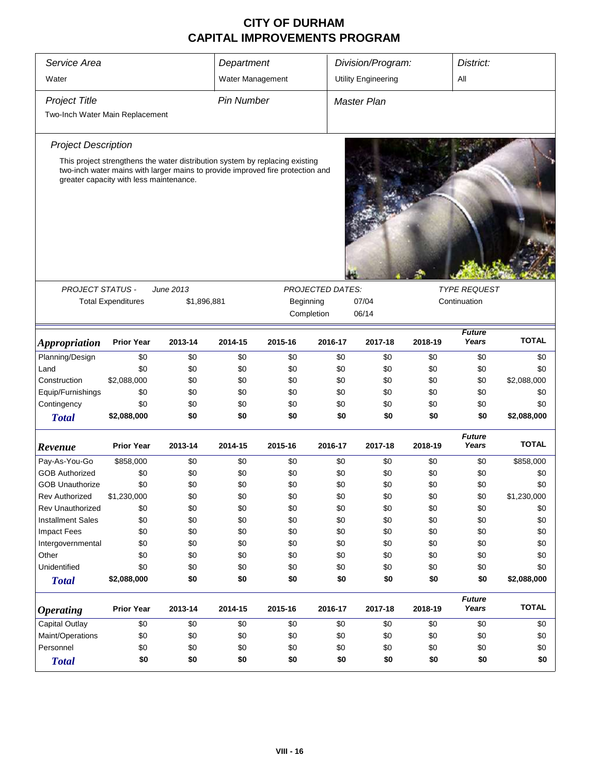| Service Area                    |                                                                                                                           |             |                   | Department |                         | Division/Program:          | District: |                        |              |
|---------------------------------|---------------------------------------------------------------------------------------------------------------------------|-------------|-------------------|------------|-------------------------|----------------------------|-----------|------------------------|--------------|
| Water                           |                                                                                                                           |             | Water Management  |            |                         | <b>Utility Engineering</b> |           | All                    |              |
| <b>Project Title</b>            |                                                                                                                           |             | <b>Pin Number</b> |            |                         | <b>Master Plan</b>         |           |                        |              |
| Two-Inch Water Main Replacement |                                                                                                                           |             |                   |            |                         |                            |           |                        |              |
|                                 |                                                                                                                           |             |                   |            |                         |                            |           |                        |              |
| <b>Project Description</b>      |                                                                                                                           |             |                   |            |                         |                            |           |                        |              |
|                                 | This project strengthens the water distribution system by replacing existing                                              |             |                   |            |                         |                            |           |                        |              |
|                                 | two-inch water mains with larger mains to provide improved fire protection and<br>greater capacity with less maintenance. |             |                   |            |                         |                            |           |                        |              |
|                                 |                                                                                                                           |             |                   |            |                         |                            |           |                        |              |
|                                 |                                                                                                                           |             |                   |            |                         |                            |           |                        |              |
| <b>PROJECT STATUS -</b>         |                                                                                                                           | June 2013   |                   |            | <b>PROJECTED DATES:</b> |                            |           | <b>TYPE REQUEST</b>    |              |
|                                 | <b>Total Expenditures</b>                                                                                                 | \$1,896,881 |                   | Beginning  |                         | 07/04                      |           | Continuation           |              |
|                                 |                                                                                                                           |             |                   | Completion |                         |                            |           |                        |              |
| <i><b>Appropriation</b></i>     | <b>Prior Year</b>                                                                                                         | 2013-14     | 2014-15           | 2015-16    | 2016-17                 | 2017-18                    | 2018-19   | <b>Future</b><br>Years | <b>TOTAL</b> |
| Planning/Design                 | \$0                                                                                                                       | \$0         | \$0               | \$0        | \$0                     | \$0                        | \$0       | \$0                    | \$0          |
| Land                            | \$0                                                                                                                       | \$0         | \$0               | \$0        | \$0                     | \$0                        | \$0       | \$0                    | \$0          |
| Construction                    | \$2,088,000                                                                                                               | \$0         | \$0               | \$0        | \$0                     | \$0                        | \$0       | \$0                    | \$2,088,000  |
| Equip/Furnishings               | \$0                                                                                                                       | \$0         | \$0               | \$0        | \$0                     | \$0                        | \$0       | \$0                    | \$0          |
| Contingency                     | \$0                                                                                                                       | \$0         | \$0               | \$0        | \$0                     | \$0                        | \$0       | \$0                    | \$0          |
| <b>Total</b>                    | \$2,088,000                                                                                                               | \$0         | \$0               | \$0        | \$0                     | \$0                        | \$0       | \$0                    | \$2,088,000  |
| Revenue                         | <b>Prior Year</b>                                                                                                         | 2013-14     | 2014-15           | 2015-16    | 2016-17                 | 2017-18                    | 2018-19   | <b>Future</b><br>Years | <b>TOTAL</b> |
| Pay-As-You-Go                   | \$858,000                                                                                                                 | \$0         | \$0               | \$0        | \$0                     | \$0                        | \$0       | \$0                    | \$858,000    |
| <b>GOB Authorized</b>           | \$0                                                                                                                       | \$0         | \$0               | \$0        | \$0                     | \$0                        | \$0       | \$0                    | \$0          |
| <b>GOB Unauthorize</b>          | \$0                                                                                                                       | \$0         | \$0               | \$0        | \$0                     | \$0                        | \$0       | \$0                    | \$0          |
| <b>Rev Authorized</b>           | \$1,230,000                                                                                                               | \$0         | \$0               | \$0        | \$0                     | \$0                        | \$0       | \$0                    | \$1,230,000  |
| <b>Rev Unauthorized</b>         | \$0                                                                                                                       | \$0         | \$0               | \$0        | \$0                     | \$0                        | \$0       | \$0                    | \$0          |
| <b>Installment Sales</b>        | \$0                                                                                                                       | \$0         | \$0               | \$0        | \$0                     | \$0                        | \$0       | \$0                    | \$0          |
| <b>Impact Fees</b>              | \$0                                                                                                                       | \$0         | \$0               | \$0        | \$0                     | \$0                        | \$0       | \$0                    | \$0          |
| Intergovernmental               | \$0                                                                                                                       | \$0         | \$0               | \$0        | \$0                     | \$0                        | \$0       | \$0                    | \$0          |
| Other                           | \$0                                                                                                                       | \$0         | \$0               | \$0        | \$0                     | \$0                        | \$0       | \$0                    | \$0          |
| Unidentified                    | \$0                                                                                                                       | \$0         | \$0               | \$0        | \$0                     | \$0                        | \$0       | \$0                    | \$0          |
| <b>Total</b>                    | \$2,088,000                                                                                                               | \$0         | \$0               | \$0        | \$0                     | \$0                        | \$0       | \$0                    | \$2,088,000  |
| <b>Operating</b>                | <b>Prior Year</b>                                                                                                         | 2013-14     | 2014-15           | 2015-16    | 2016-17                 | 2017-18                    | 2018-19   | <b>Future</b><br>Years | <b>TOTAL</b> |
| Capital Outlay                  | \$0                                                                                                                       | \$0         | \$0               | \$0        | \$0                     | \$0                        | \$0       | \$0                    | \$0          |
| Maint/Operations                | \$0                                                                                                                       | \$0         | \$0               | \$0        | \$0                     | \$0                        | \$0       | \$0                    | \$0          |
| Personnel                       | \$0                                                                                                                       | \$0         | \$0               | \$0        | \$0                     | \$0                        | \$0       | \$0                    | \$0          |
| <b>Total</b>                    | \$0                                                                                                                       | \$0         | \$0               | \$0        | \$0                     | \$0                        | \$0       | \$0                    | \$0          |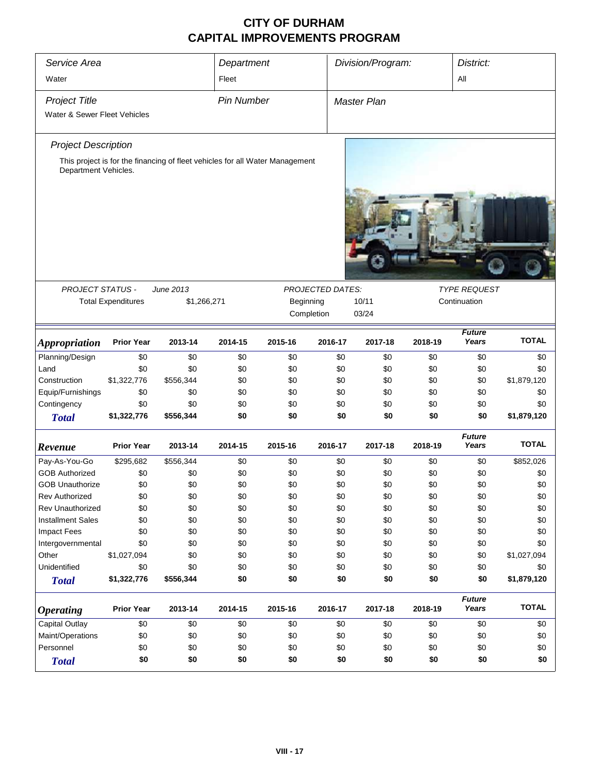| Service Area<br>Water                                |                           |                                                                              |                   | Department |                  | Division/Program:  |         |                        | District:<br>All |  |
|------------------------------------------------------|---------------------------|------------------------------------------------------------------------------|-------------------|------------|------------------|--------------------|---------|------------------------|------------------|--|
| <b>Project Title</b><br>Water & Sewer Fleet Vehicles |                           |                                                                              | <b>Pin Number</b> |            |                  | <b>Master Plan</b> |         |                        |                  |  |
| <b>Project Description</b>                           |                           |                                                                              |                   |            |                  |                    |         |                        |                  |  |
| Department Vehicles.                                 |                           | This project is for the financing of fleet vehicles for all Water Management |                   |            |                  |                    |         |                        |                  |  |
|                                                      |                           |                                                                              |                   |            |                  |                    |         |                        |                  |  |
| <b>PROJECT STATUS -</b>                              |                           | June 2013                                                                    |                   |            | PROJECTED DATES: |                    |         | <b>TYPE REQUEST</b>    |                  |  |
|                                                      | <b>Total Expenditures</b> | \$1,266,271                                                                  |                   |            | Beginning        | 10/11              |         | Continuation           |                  |  |
|                                                      |                           |                                                                              |                   |            | Completion       | 03/24              |         |                        |                  |  |
| <b>Appropriation</b>                                 | <b>Prior Year</b>         | 2013-14                                                                      | 2014-15           | 2015-16    | 2016-17          | 2017-18            | 2018-19 | <b>Future</b><br>Years | <b>TOTAL</b>     |  |
| Planning/Design                                      | \$0                       | \$0                                                                          | \$0               | \$0        | \$0              | \$0                | \$0     | \$0                    | \$0              |  |
| Land                                                 | \$0                       | \$0                                                                          | \$0               | \$0        | \$0              | \$0                | \$0     | \$0                    | \$0              |  |
| Construction                                         | \$1,322,776               | \$556,344                                                                    | \$0               | \$0        | \$0              | \$0                | \$0     | \$0                    | \$1,879,120      |  |
| Equip/Furnishings                                    | \$0                       | \$0                                                                          | \$0               | \$0        | \$0              | \$0                | \$0     | \$0                    | \$0              |  |
| Contingency                                          | \$0                       | \$0                                                                          | \$0               | \$0        | \$0              | \$0                | \$0     | \$0                    | \$0              |  |
| <b>Total</b>                                         | \$1,322,776               | \$556,344                                                                    | \$0               | \$0        | \$0              | \$0                | \$0     | \$0                    | \$1,879,120      |  |
| Revenue                                              | <b>Prior Year</b>         | 2013-14                                                                      | 2014-15           | 2015-16    | 2016-17          | 2017-18            | 2018-19 | <b>Future</b><br>Years | <b>TOTAL</b>     |  |
| Pay-As-You-Go                                        | \$295,682                 | \$556,344                                                                    | \$0               | \$0        | \$0              | \$0                | \$0     | \$0                    | \$852,026        |  |
| <b>GOB Authorized</b>                                | \$0                       | \$0                                                                          | \$0               | \$0        | \$0              | \$0                | \$0     | \$0                    | \$0              |  |
| <b>GOB Unauthorize</b>                               | \$0                       | \$0                                                                          | \$0               | \$0        | \$0              | \$0                | \$0     | \$0                    | \$0              |  |
| <b>Rev Authorized</b>                                | \$0                       | \$0                                                                          | \$0               | \$0        | \$0              | \$0                | \$0     | \$0                    | \$0              |  |
| Rev Unauthorized                                     | \$0                       | \$0                                                                          | \$0               | \$0        | \$0              | \$0                | \$0     | \$0                    | \$0              |  |
| <b>Installment Sales</b>                             | \$0                       | \$0                                                                          | \$0               | \$0        | \$0              | \$0                | \$0     | \$0                    | \$0              |  |
| Impact Fees                                          | \$0                       | \$0                                                                          | \$0               | \$0        | \$0              | \$0                | \$0     | \$0                    | \$0              |  |
| Intergovernmental                                    | \$0                       | \$0                                                                          | \$0               | \$0        | \$0              | \$0                | \$0     | \$0                    | \$0              |  |
| Other                                                | \$1,027,094               | \$0                                                                          | \$0               | \$0        | \$0              | \$0                | \$0     | \$0                    | \$1,027,094      |  |
| Unidentified                                         | \$0                       | \$0                                                                          | \$0               | \$0        | \$0              | \$0                | \$0     | \$0                    | \$0              |  |
| <b>Total</b>                                         | \$1,322,776               | \$556,344                                                                    | \$0               | \$0        | \$0              | \$0                | \$0     | \$0                    | \$1,879,120      |  |
| <b>Operating</b>                                     | <b>Prior Year</b>         | 2013-14                                                                      | 2014-15           | 2015-16    | 2016-17          | 2017-18            | 2018-19 | <b>Future</b><br>Years | <b>TOTAL</b>     |  |
| <b>Capital Outlay</b>                                | \$0                       | \$0                                                                          | \$0               | \$0        | \$0              | \$0                | \$0     | \$0                    | \$0              |  |
| Maint/Operations                                     | \$0                       | \$0                                                                          | \$0               | \$0        | \$0              | \$0                | \$0     | \$0                    | \$0              |  |
| Personnel                                            | \$0                       | \$0                                                                          | \$0               | \$0        | \$0              | \$0                | \$0     | \$0                    | \$0              |  |
| <b>Total</b>                                         | \$0                       | \$0                                                                          | \$0               | \$0        | \$0              | \$0                | \$0     | \$0                    | \$0              |  |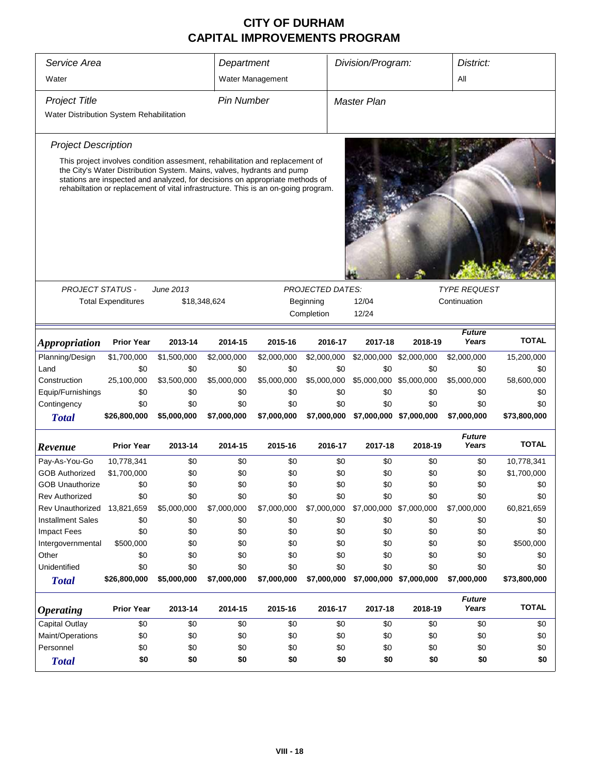| Service Area                                 |                                                                                                                                                                                                                                              |                     | Department        |                  |                    | Division/Program:       |                                     | District:              |              |  |
|----------------------------------------------|----------------------------------------------------------------------------------------------------------------------------------------------------------------------------------------------------------------------------------------------|---------------------|-------------------|------------------|--------------------|-------------------------|-------------------------------------|------------------------|--------------|--|
| Water                                        |                                                                                                                                                                                                                                              |                     |                   | Water Management |                    |                         |                                     | All                    |              |  |
| <b>Project Title</b>                         |                                                                                                                                                                                                                                              |                     | <b>Pin Number</b> |                  |                    | Master Plan             |                                     |                        |              |  |
| Water Distribution System Rehabilitation     |                                                                                                                                                                                                                                              |                     |                   |                  |                    |                         |                                     |                        |              |  |
| <b>Project Description</b>                   |                                                                                                                                                                                                                                              |                     |                   |                  |                    |                         |                                     |                        |              |  |
|                                              | This project involves condition assesment, rehabilitation and replacement of                                                                                                                                                                 |                     |                   |                  |                    |                         |                                     |                        |              |  |
|                                              | the City's Water Distribution System. Mains, valves, hydrants and pump<br>stations are inspected and analyzed, for decisions on appropriate methods of<br>rehabiltation or replacement of vital infrastructure. This is an on-going program. |                     |                   |                  |                    |                         |                                     |                        |              |  |
|                                              |                                                                                                                                                                                                                                              |                     |                   |                  |                    |                         |                                     |                        |              |  |
|                                              |                                                                                                                                                                                                                                              |                     |                   |                  |                    |                         |                                     |                        |              |  |
|                                              |                                                                                                                                                                                                                                              |                     |                   |                  |                    |                         |                                     |                        |              |  |
|                                              |                                                                                                                                                                                                                                              |                     |                   |                  |                    |                         |                                     |                        |              |  |
| <b>PROJECT STATUS -</b>                      |                                                                                                                                                                                                                                              | June 2013           |                   |                  | PROJECTED DATES:   |                         |                                     |                        |              |  |
|                                              | <b>Total Expenditures</b>                                                                                                                                                                                                                    |                     | \$18,348,624      |                  | Beginning          | 12/04                   | <b>TYPE REQUEST</b><br>Continuation |                        |              |  |
|                                              |                                                                                                                                                                                                                                              | Completion<br>12/24 |                   |                  |                    |                         |                                     |                        |              |  |
|                                              |                                                                                                                                                                                                                                              |                     |                   |                  |                    |                         |                                     |                        |              |  |
| <i><b>Appropriation</b></i>                  | <b>Prior Year</b>                                                                                                                                                                                                                            | 2013-14             | 2014-15           | 2015-16          | 2016-17            | 2017-18                 | 2018-19                             | <b>Future</b><br>Years | <b>TOTAL</b> |  |
| Planning/Design                              | \$1,700,000                                                                                                                                                                                                                                  | \$1,500,000         | \$2,000,000       | \$2,000,000      | \$2,000,000        |                         | \$2,000,000 \$2,000,000             | \$2,000,000            | 15,200,000   |  |
| Land                                         | \$0                                                                                                                                                                                                                                          | \$0                 | \$0               | \$0              | \$0                | \$0                     | \$0                                 | \$0                    | \$0          |  |
| Construction                                 | 25,100,000                                                                                                                                                                                                                                   | \$3,500,000         | \$5,000,000       | \$5,000,000      | \$5,000,000        |                         | \$5,000,000 \$5,000,000             | \$5,000,000            | 58,600,000   |  |
| Equip/Furnishings                            | \$0                                                                                                                                                                                                                                          | \$0                 | \$0               | \$0              | \$0                | \$0                     | \$0                                 | \$0                    | \$0          |  |
| Contingency                                  | \$0                                                                                                                                                                                                                                          | \$0                 | \$0               | \$0              | \$0                | \$0                     | \$0                                 | \$0                    | \$0          |  |
| <b>Total</b>                                 | \$26,800,000                                                                                                                                                                                                                                 | \$5,000,000         | \$7,000,000       | \$7,000,000      | \$7,000,000        |                         | \$7,000,000 \$7,000,000             | \$7,000,000            | \$73,800,000 |  |
|                                              |                                                                                                                                                                                                                                              |                     |                   |                  |                    |                         |                                     | <b>Future</b>          | <b>TOTAL</b> |  |
| Revenue                                      | <b>Prior Year</b>                                                                                                                                                                                                                            | 2013-14             | 2014-15           | 2015-16          | 2016-17            | 2017-18                 | 2018-19                             | Years                  |              |  |
| Pay-As-You-Go                                | 10,778,341                                                                                                                                                                                                                                   | \$0                 | \$0               | \$0              | \$0                | \$0                     | \$0                                 | \$0                    | 10,778,341   |  |
| <b>GOB Authorized</b>                        | \$1,700,000                                                                                                                                                                                                                                  | \$0                 | \$0               | \$0              | \$0                | \$0                     | \$0                                 | \$0                    | \$1,700,000  |  |
| <b>GOB Unauthorize</b>                       | \$0                                                                                                                                                                                                                                          | \$0                 | \$0               | \$0              | \$0                | \$0                     | \$0                                 | \$0                    | \$0          |  |
| Rev Authorized                               | \$0                                                                                                                                                                                                                                          | \$0                 | \$0               | \$0              | \$0                | \$0                     | \$0                                 | \$0                    | \$0          |  |
| Rev Unauthorized<br><b>Installment Sales</b> | 13,821,659                                                                                                                                                                                                                                   | \$5,000,000         | \$7,000,000       | \$7,000,000      | \$7,000,000<br>\$0 | \$7,000,000 \$7,000,000 |                                     | \$7,000,000            | 60,821,659   |  |
| <b>Impact Fees</b>                           | \$0<br>\$0                                                                                                                                                                                                                                   | \$0<br>\$0          | \$0<br>\$0        | \$0<br>\$0       | \$0                | \$0<br>\$0              | \$0<br>\$0                          | \$0<br>\$0             | \$0<br>\$0   |  |
| Intergovernmental                            | \$500,000                                                                                                                                                                                                                                    | \$0                 | \$0               | \$0              | \$0                | \$0                     | \$0                                 | \$0                    | \$500,000    |  |
| Other                                        | \$0                                                                                                                                                                                                                                          | \$0                 | \$0               | \$0              | \$0                | \$0                     | \$0                                 | \$0                    | \$0          |  |
| Unidentified                                 | \$0                                                                                                                                                                                                                                          | \$0                 | \$0               | \$0              | \$0                | \$0                     | \$0                                 | \$0                    | \$0          |  |
| <b>Total</b>                                 | \$26,800,000                                                                                                                                                                                                                                 | \$5,000,000         | \$7,000,000       | \$7,000,000      | \$7,000,000        |                         | \$7,000,000 \$7,000,000             | \$7,000,000            | \$73,800,000 |  |
|                                              |                                                                                                                                                                                                                                              |                     |                   |                  |                    |                         |                                     | <b>Future</b>          |              |  |
| <b>Operating</b>                             | <b>Prior Year</b>                                                                                                                                                                                                                            | 2013-14             | 2014-15           | 2015-16          | 2016-17            | 2017-18                 | 2018-19                             | Years                  | <b>TOTAL</b> |  |
| <b>Capital Outlay</b>                        | \$0                                                                                                                                                                                                                                          | \$0                 | \$0               | \$0              | \$0                | \$0                     | \$0                                 | \$0                    | \$0          |  |
| Maint/Operations                             | \$0                                                                                                                                                                                                                                          | \$0                 | \$0               | \$0              | \$0                | \$0                     | \$0                                 | \$0                    | \$0          |  |
| Personnel                                    | \$0                                                                                                                                                                                                                                          | \$0                 | \$0               | \$0              | \$0                | \$0                     | \$0                                 | \$0                    | \$0          |  |
| <b>Total</b>                                 | \$0                                                                                                                                                                                                                                          | \$0                 | \$0               | \$0              | \$0                | \$0                     | \$0                                 | \$0                    | \$0          |  |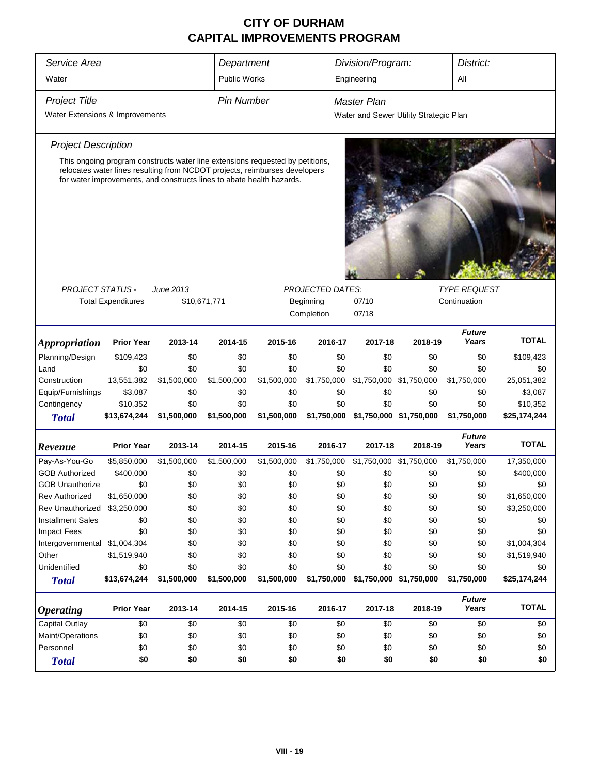| Service Area                    |                                                                                                                                                     |                  |                     | Division/Program:<br>Department |             |                                        |                         | District:              |              |
|---------------------------------|-----------------------------------------------------------------------------------------------------------------------------------------------------|------------------|---------------------|---------------------------------|-------------|----------------------------------------|-------------------------|------------------------|--------------|
| Water                           |                                                                                                                                                     |                  | <b>Public Works</b> |                                 |             | Engineering                            |                         | All                    |              |
| <b>Project Title</b>            |                                                                                                                                                     |                  | <b>Pin Number</b>   |                                 |             | Master Plan                            |                         |                        |              |
| Water Extensions & Improvements |                                                                                                                                                     |                  |                     |                                 |             | Water and Sewer Utility Strategic Plan |                         |                        |              |
| <b>Project Description</b>      |                                                                                                                                                     |                  |                     |                                 |             |                                        |                         |                        |              |
|                                 | This ongoing program constructs water line extensions requested by petitions,                                                                       |                  |                     |                                 |             |                                        |                         |                        |              |
|                                 | relocates water lines resulting from NCDOT projects, reimburses developers<br>for water improvements, and constructs lines to abate health hazards. |                  |                     |                                 |             |                                        |                         |                        |              |
|                                 |                                                                                                                                                     |                  |                     |                                 |             |                                        |                         |                        |              |
|                                 |                                                                                                                                                     |                  |                     |                                 |             |                                        |                         |                        |              |
| <b>PROJECT STATUS -</b>         |                                                                                                                                                     | <b>June 2013</b> |                     | <b>PROJECTED DATES:</b>         |             |                                        | <b>TYPE REQUEST</b>     |                        |              |
|                                 | <b>Total Expenditures</b>                                                                                                                           |                  | \$10,671,771        |                                 | Beginning   | 07/10<br>Continuation                  |                         |                        |              |
|                                 |                                                                                                                                                     |                  |                     |                                 | Completion  | 07/18                                  |                         |                        |              |
| Appropriation                   | <b>Prior Year</b>                                                                                                                                   | 2013-14          | 2014-15             | 2015-16                         | 2016-17     | 2017-18                                | 2018-19                 | <b>Future</b><br>Years | <b>TOTAL</b> |
| Planning/Design                 | \$109,423                                                                                                                                           | \$0              | \$0                 | \$0                             | \$0         | \$0                                    | \$0                     | \$0                    | \$109,423    |
| Land                            | \$0                                                                                                                                                 | \$0              | \$0                 | \$0                             | \$0         | \$0                                    | \$0                     | \$0                    | \$0          |
| Construction                    | 13,551,382                                                                                                                                          | \$1,500,000      | \$1,500,000         | \$1,500,000                     | \$1,750,000 | \$1,750,000 \$1,750,000                |                         | \$1,750,000            | 25,051,382   |
| Equip/Furnishings               | \$3,087                                                                                                                                             | \$0              | \$0                 | \$0                             | \$0         | \$0                                    | \$0                     | \$0                    | \$3,087      |
| Contingency                     | \$10,352                                                                                                                                            | \$0              | \$0                 | \$0                             | \$0         | \$0                                    | \$0                     | \$0                    | \$10,352     |
| <b>Total</b>                    | \$13,674,244                                                                                                                                        | \$1,500,000      | \$1,500,000         | \$1,500,000                     | \$1,750,000 |                                        | \$1,750,000 \$1,750,000 | \$1,750,000            | \$25,174,244 |
| Revenue                         | <b>Prior Year</b>                                                                                                                                   | 2013-14          | 2014-15             | 2015-16                         | 2016-17     | 2017-18                                | 2018-19                 | <b>Future</b><br>Years | <b>TOTAL</b> |
| Pay-As-You-Go                   | \$5,850,000                                                                                                                                         | \$1,500,000      | \$1,500,000         | \$1,500,000                     | \$1,750,000 | \$1,750,000 \$1,750,000                |                         | \$1,750,000            | 17,350,000   |
| <b>GOB Authorized</b>           | \$400,000                                                                                                                                           | \$0              | \$0                 | \$0                             | \$0         | \$0                                    | \$0                     | \$0                    | \$400,000    |
| <b>GOB Unauthorize</b>          | \$0                                                                                                                                                 | \$0              | \$0                 | \$0                             | \$0         | \$0                                    | \$0                     | \$0                    | \$0          |
| <b>Rev Authorized</b>           | \$1,650,000                                                                                                                                         | \$0              | \$0                 | \$0                             | \$0         | \$0                                    | \$0                     | \$0                    | \$1,650,000  |
| Rev Unauthorized                | \$3,250,000                                                                                                                                         | \$0              | \$0                 | \$0                             | \$0         | \$0                                    | \$0                     | \$0                    | \$3,250,000  |
| <b>Installment Sales</b>        | \$0                                                                                                                                                 | \$0              | \$0                 | \$0                             | \$0         | \$0                                    | \$0                     | \$0                    | \$0          |
| <b>Impact Fees</b>              | \$0                                                                                                                                                 | \$0              | \$0                 | \$0                             | \$0         | \$0                                    | \$0                     | \$0                    | \$0          |
| Intergovernmental               | \$1,004,304                                                                                                                                         | \$0              | \$0                 | \$0                             | \$0         | \$0                                    | \$0                     | \$0                    | \$1,004,304  |
| Other                           | \$1,519,940                                                                                                                                         | \$0              | \$0                 | \$0                             | \$0         | \$0                                    | \$0                     | \$0                    | \$1,519,940  |
| Unidentified                    | \$0                                                                                                                                                 | \$0              | \$0                 | \$0                             | \$0         | \$0                                    | \$0                     | \$0                    | \$0          |
| <b>Total</b>                    | \$13,674,244                                                                                                                                        | \$1,500,000      | \$1,500,000         | \$1,500,000                     | \$1,750,000 |                                        | \$1,750,000 \$1,750,000 | \$1,750,000            | \$25,174,244 |
| <i><b>Operating</b></i>         | <b>Prior Year</b>                                                                                                                                   | 2013-14          | 2014-15             | 2015-16                         | 2016-17     | 2017-18                                | 2018-19                 | <b>Future</b><br>Years | <b>TOTAL</b> |
| Capital Outlay                  | \$0                                                                                                                                                 | \$0              | \$0                 | \$0                             | \$0         | \$0                                    | \$0                     | \$0                    | \$0          |
| Maint/Operations                | \$0                                                                                                                                                 | \$0              | \$0                 | \$0                             | \$0         | \$0                                    | \$0                     | \$0                    | \$0          |
| Personnel                       | \$0                                                                                                                                                 | \$0              | \$0                 | \$0                             | \$0         | \$0                                    | \$0                     | \$0                    | \$0          |
| <b>Total</b>                    | \$0                                                                                                                                                 | \$0              | \$0                 | \$0                             | \$0         | \$0                                    | \$0                     | \$0                    | \$0          |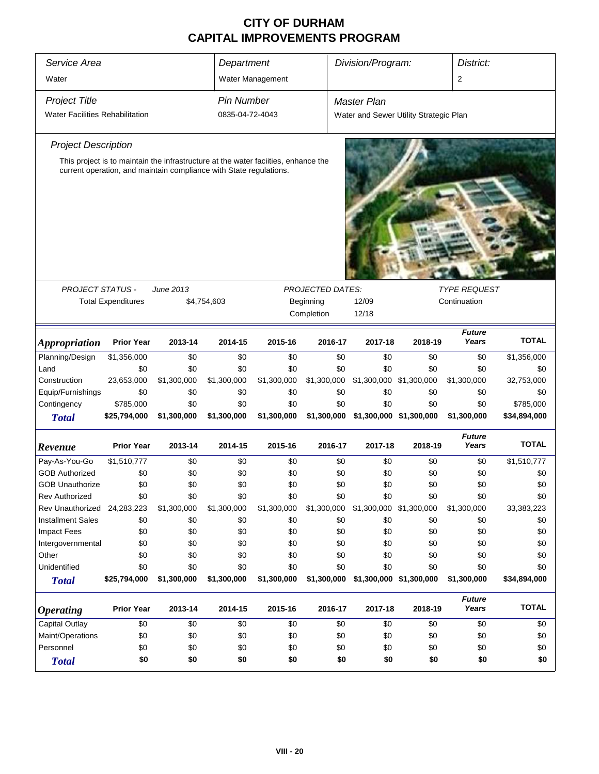| Service Area<br>Water                                                                                                                                                                                                        |                           |             |                                      | Department<br>Water Management |                         | Division/Program:                                     |                         | 2                      | District:           |  |  |
|------------------------------------------------------------------------------------------------------------------------------------------------------------------------------------------------------------------------------|---------------------------|-------------|--------------------------------------|--------------------------------|-------------------------|-------------------------------------------------------|-------------------------|------------------------|---------------------|--|--|
| <b>Project Title</b><br><b>Water Facilities Rehabilitation</b>                                                                                                                                                               |                           |             | <b>Pin Number</b><br>0835-04-72-4043 |                                |                         | Master Plan<br>Water and Sewer Utility Strategic Plan |                         |                        |                     |  |  |
| <b>Project Description</b>                                                                                                                                                                                                   |                           |             |                                      |                                |                         |                                                       |                         |                        |                     |  |  |
| This project is to maintain the infrastructure at the water facilities, enhance the<br>current operation, and maintain compliance with State regulations.<br><b>PROJECT STATUS -</b><br>June 2013<br><b>PROJECTED DATES:</b> |                           |             |                                      |                                |                         |                                                       |                         |                        | <b>TYPE REQUEST</b> |  |  |
|                                                                                                                                                                                                                              | <b>Total Expenditures</b> |             | \$4,754,603                          |                                | Beginning<br>Completion | Continuation<br>12/09<br>12/18                        |                         |                        |                     |  |  |
| <i><b>Appropriation</b></i>                                                                                                                                                                                                  | <b>Prior Year</b>         | 2013-14     | 2014-15                              | 2015-16                        | 2016-17                 | 2017-18                                               | 2018-19                 | <b>Future</b><br>Years | <b>TOTAL</b>        |  |  |
| Planning/Design                                                                                                                                                                                                              | \$1,356,000               | \$0         | \$0                                  | \$0                            | \$0                     | \$0                                                   | \$0                     | \$0                    | \$1,356,000         |  |  |
| Land                                                                                                                                                                                                                         | \$0                       | \$0         | \$0                                  | \$0                            | \$0                     | \$0                                                   | \$0                     | \$0                    | \$0                 |  |  |
| Construction                                                                                                                                                                                                                 | 23,653,000                | \$1,300,000 | \$1,300,000                          | \$1,300,000                    | \$1,300,000             |                                                       | \$1,300,000 \$1,300,000 | \$1,300,000            | 32,753,000          |  |  |
| Equip/Furnishings                                                                                                                                                                                                            | \$0                       | \$0         | \$0                                  | \$0                            | \$0                     | \$0                                                   | \$0                     | \$0                    | \$0                 |  |  |
| Contingency                                                                                                                                                                                                                  | \$785,000                 | \$0         | \$0                                  | \$0                            | \$0                     | \$0                                                   | \$0                     | \$0                    | \$785,000           |  |  |
| <b>Total</b>                                                                                                                                                                                                                 | \$25,794,000              | \$1,300,000 | \$1,300,000                          | \$1,300,000                    | \$1,300,000             |                                                       | \$1,300,000 \$1,300,000 | \$1,300,000            | \$34,894,000        |  |  |
| Revenue                                                                                                                                                                                                                      | <b>Prior Year</b>         | 2013-14     | 2014-15                              | 2015-16                        | 2016-17                 | 2017-18                                               | 2018-19                 | <b>Future</b><br>Years | <b>TOTAL</b>        |  |  |
| Pay-As-You-Go                                                                                                                                                                                                                | \$1,510,777               | \$0         | \$0                                  | \$0                            | \$0                     | \$0                                                   | \$0                     | \$0                    | \$1,510,777         |  |  |
| <b>GOB Authorized</b>                                                                                                                                                                                                        | \$0                       | \$0         | \$0                                  | \$0                            | \$0                     | \$0                                                   | \$0                     | \$0                    | \$0                 |  |  |
| <b>GOB Unauthorize</b>                                                                                                                                                                                                       | \$0                       | \$0         | \$0                                  | \$0                            | \$0                     | \$0                                                   | \$0                     | \$0                    | \$0                 |  |  |
| Rev Authorized                                                                                                                                                                                                               | \$0                       | \$0         | \$0                                  | \$0                            | \$0                     | \$0                                                   | \$0                     | \$0                    | \$0                 |  |  |
| Rev Unauthorized                                                                                                                                                                                                             | 24,283,223                | \$1,300,000 | \$1,300,000                          | \$1,300,000                    | \$1,300,000             |                                                       | \$1,300,000 \$1,300,000 | \$1,300,000            | 33,383,223          |  |  |
| <b>Installment Sales</b>                                                                                                                                                                                                     | \$0                       | \$0         | \$0                                  | \$0                            | \$0                     | \$0                                                   | \$0                     | \$0                    | \$0                 |  |  |
| <b>Impact Fees</b>                                                                                                                                                                                                           | \$0                       | \$0         | \$0                                  | \$0                            | \$0                     | \$0                                                   | \$0                     | \$0                    | \$0                 |  |  |
| Intergovernmental                                                                                                                                                                                                            | \$0                       | \$0         | \$0                                  | \$0                            | \$0                     | \$0                                                   | \$0                     | \$0                    | \$0                 |  |  |
| Other                                                                                                                                                                                                                        | \$0                       | \$0         | \$0                                  | \$0                            | \$0                     | \$0                                                   | \$0                     | \$0                    | \$0                 |  |  |
| Unidentified                                                                                                                                                                                                                 | \$0                       | \$0         | \$0                                  | \$0                            | \$0                     | \$0                                                   | \$0                     | \$0                    | \$0                 |  |  |
| <b>Total</b>                                                                                                                                                                                                                 | \$25,794,000              | \$1,300,000 | \$1,300,000                          | \$1,300,000                    | \$1,300,000             |                                                       | \$1,300,000 \$1,300,000 | \$1,300,000            | \$34,894,000        |  |  |
| <i><b>Operating</b></i>                                                                                                                                                                                                      | <b>Prior Year</b>         | 2013-14     | 2014-15                              | 2015-16                        | 2016-17                 | 2017-18                                               | 2018-19                 | <b>Future</b><br>Years | <b>TOTAL</b>        |  |  |
| <b>Capital Outlay</b>                                                                                                                                                                                                        | \$0                       | \$0         | \$0                                  | \$0                            | \$0                     | \$0                                                   | \$0                     | \$0                    | \$0                 |  |  |
| Maint/Operations                                                                                                                                                                                                             | \$0                       | \$0         | \$0                                  | \$0                            | \$0                     | \$0                                                   | \$0                     | \$0                    | \$0                 |  |  |
| Personnel                                                                                                                                                                                                                    | \$0                       | \$0         | \$0                                  | \$0                            | \$0                     | \$0                                                   | \$0                     | \$0                    | \$0                 |  |  |
| <b>Total</b>                                                                                                                                                                                                                 | \$0                       | \$0         | \$0                                  | \$0                            | \$0                     | \$0                                                   | \$0                     | \$0                    | \$0                 |  |  |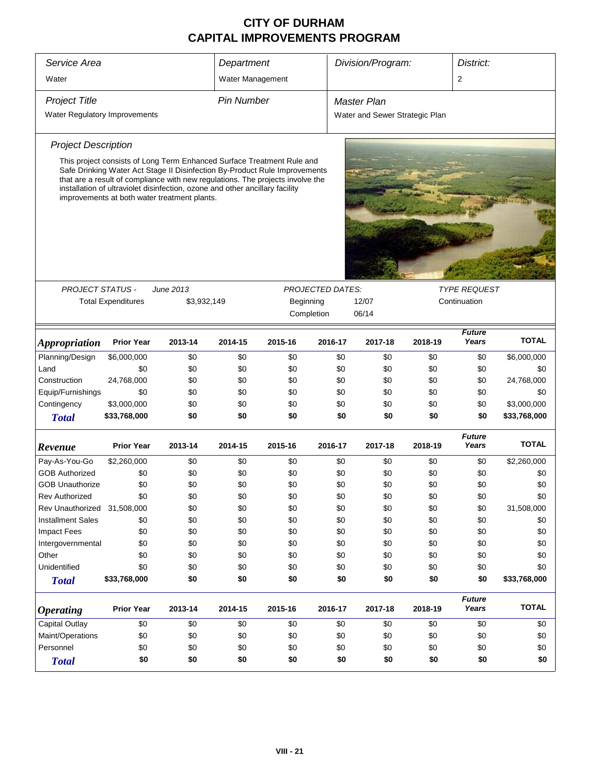| Service Area                  | Department                                                                                                                                                                                                                                                                                                                                                             |             |                   |            |                         | Division/Program:<br>District: |                                |                        |              |  |
|-------------------------------|------------------------------------------------------------------------------------------------------------------------------------------------------------------------------------------------------------------------------------------------------------------------------------------------------------------------------------------------------------------------|-------------|-------------------|------------|-------------------------|--------------------------------|--------------------------------|------------------------|--------------|--|
| Water                         |                                                                                                                                                                                                                                                                                                                                                                        |             | Water Management  |            |                         |                                |                                | 2                      |              |  |
|                               |                                                                                                                                                                                                                                                                                                                                                                        |             |                   |            |                         |                                |                                |                        |              |  |
| <b>Project Title</b>          |                                                                                                                                                                                                                                                                                                                                                                        |             | <b>Pin Number</b> |            |                         | <b>Master Plan</b>             |                                |                        |              |  |
| Water Regulatory Improvements |                                                                                                                                                                                                                                                                                                                                                                        |             |                   |            |                         |                                | Water and Sewer Strategic Plan |                        |              |  |
| <b>Project Description</b>    |                                                                                                                                                                                                                                                                                                                                                                        |             |                   |            |                         |                                |                                |                        |              |  |
|                               | This project consists of Long Term Enhanced Surface Treatment Rule and<br>Safe Drinking Water Act Stage II Disinfection By-Product Rule Improvements<br>that are a result of compliance with new regulations. The projects involve the<br>installation of ultraviolet disinfection, ozone and other ancillary facility<br>improvements at both water treatment plants. |             |                   |            |                         |                                |                                |                        |              |  |
|                               |                                                                                                                                                                                                                                                                                                                                                                        |             |                   |            |                         |                                |                                |                        |              |  |
|                               |                                                                                                                                                                                                                                                                                                                                                                        |             |                   |            |                         |                                |                                |                        |              |  |
| <b>PROJECT STATUS -</b>       |                                                                                                                                                                                                                                                                                                                                                                        | June 2013   |                   |            | <b>PROJECTED DATES:</b> |                                |                                | <b>TYPE REQUEST</b>    |              |  |
|                               | <b>Total Expenditures</b>                                                                                                                                                                                                                                                                                                                                              | \$3,932,149 |                   | Beginning  |                         | 12/07                          |                                | Continuation           |              |  |
|                               |                                                                                                                                                                                                                                                                                                                                                                        |             |                   | Completion |                         | 06/14                          |                                |                        |              |  |
|                               |                                                                                                                                                                                                                                                                                                                                                                        |             |                   |            |                         |                                |                                | <b>Future</b>          |              |  |
| <b>Appropriation</b>          | <b>Prior Year</b>                                                                                                                                                                                                                                                                                                                                                      | 2013-14     | 2014-15           | 2015-16    | 2016-17                 | 2017-18                        | 2018-19                        | Years                  | <b>TOTAL</b> |  |
| Planning/Design               | \$6,000,000                                                                                                                                                                                                                                                                                                                                                            | \$0         | \$0               | \$0        | \$0                     | \$0                            | \$0                            | \$0                    | \$6,000,000  |  |
| Land                          | \$0                                                                                                                                                                                                                                                                                                                                                                    | \$0         | \$0               | \$0        | \$0                     | \$0                            | \$0                            | \$0                    | \$0          |  |
| Construction                  | 24,768,000                                                                                                                                                                                                                                                                                                                                                             | \$0         | \$0               | \$0        | \$0                     | \$0                            | \$0                            | \$0                    | 24,768,000   |  |
| Equip/Furnishings             | \$0                                                                                                                                                                                                                                                                                                                                                                    | \$0         | \$0               | \$0        | \$0                     | \$0                            | \$0                            | \$0                    | \$0          |  |
| Contingency                   | \$3,000,000                                                                                                                                                                                                                                                                                                                                                            | \$0         | \$0               | \$0        | \$0                     | \$0                            | \$0                            | \$0                    | \$3,000,000  |  |
| <b>Total</b>                  | \$33,768,000                                                                                                                                                                                                                                                                                                                                                           | \$0         | \$0               | \$0        | \$0                     | \$0                            | \$0                            | \$0                    | \$33,768,000 |  |
| Revenue                       | <b>Prior Year</b>                                                                                                                                                                                                                                                                                                                                                      | 2013-14     | 2014-15           | 2015-16    | 2016-17                 | 2017-18                        | 2018-19                        | <b>Future</b><br>Years | <b>TOTAL</b> |  |
| Pay-As-You-Go                 | \$2,260,000                                                                                                                                                                                                                                                                                                                                                            | \$0         | \$0               | \$0        | \$0                     | \$0                            | \$0                            | \$0                    | \$2,260,000  |  |
| <b>GOB Authorized</b>         | \$0                                                                                                                                                                                                                                                                                                                                                                    | \$0         | \$0               | \$0        | \$0                     | \$0                            | \$0                            | \$0                    | \$0          |  |
| <b>GOB Unauthorize</b>        | \$0                                                                                                                                                                                                                                                                                                                                                                    | \$0         | \$0               | \$0        | \$0                     | \$0                            | \$0                            | \$0                    | \$0          |  |
| <b>Rev Authorized</b>         | \$0                                                                                                                                                                                                                                                                                                                                                                    | \$0         | \$0               | \$0        | \$0                     | \$0                            | \$0                            | \$0                    | \$0          |  |
| Rev Unauthorized              | 31,508,000                                                                                                                                                                                                                                                                                                                                                             | \$0         | \$0               | \$0        | \$0                     | \$0                            | \$0                            | \$0                    | 31,508,000   |  |
| <b>Installment Sales</b>      | \$0                                                                                                                                                                                                                                                                                                                                                                    | \$0         | \$0               | \$0        | \$0                     | \$0                            | \$0                            | \$0                    | \$0          |  |
| <b>Impact Fees</b>            | \$0                                                                                                                                                                                                                                                                                                                                                                    | \$0         | \$0               | \$0        | \$0                     | \$0                            | \$0                            | \$0                    | \$0          |  |
| Intergovernmental             | \$0                                                                                                                                                                                                                                                                                                                                                                    | \$0         | \$0               | \$0        | \$0                     | \$0                            | \$0                            | \$0                    | \$0          |  |
| Other                         | \$0                                                                                                                                                                                                                                                                                                                                                                    | \$0         | \$0               | \$0        | \$0                     | \$0                            | \$0                            | \$0                    | \$0          |  |
| Unidentified                  | \$0                                                                                                                                                                                                                                                                                                                                                                    | \$0         | \$0               | \$0        | \$0                     | \$0                            | \$0                            | \$0                    | \$0          |  |
| <b>Total</b>                  | \$33,768,000                                                                                                                                                                                                                                                                                                                                                           | \$0         | \$0               | \$0        | \$0                     | \$0                            | \$0                            | \$0                    | \$33,768,000 |  |
| <b>Operating</b>              | <b>Prior Year</b>                                                                                                                                                                                                                                                                                                                                                      | 2013-14     | 2014-15           | 2015-16    | 2016-17                 | 2017-18                        | 2018-19                        | <b>Future</b><br>Years | <b>TOTAL</b> |  |
| Capital Outlay                | \$0                                                                                                                                                                                                                                                                                                                                                                    | \$0         | \$0               | \$0        | \$0                     | \$0                            | \$0                            | \$0                    | \$0          |  |
| Maint/Operations              | \$0                                                                                                                                                                                                                                                                                                                                                                    | \$0         | \$0               | \$0        | \$0                     | \$0                            | \$0                            | \$0                    | \$0          |  |
| Personnel                     | \$0                                                                                                                                                                                                                                                                                                                                                                    | \$0         | \$0               | \$0        | \$0                     | \$0                            | \$0                            | \$0                    | \$0          |  |
| <b>Total</b>                  | \$0                                                                                                                                                                                                                                                                                                                                                                    | \$0         | \$0               | \$0        | \$0                     | \$0                            | \$0                            | \$0                    | \$0          |  |